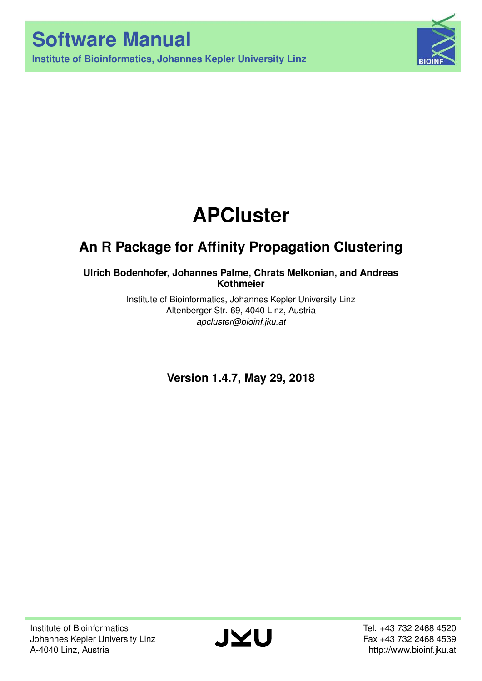



# **APCluster**

## **An R Package for Affinity Propagation Clustering**

### **Ulrich Bodenhofer, Johannes Palme, Chrats Melkonian, and Andreas Kothmeier**

Institute of Bioinformatics, Johannes Kepler University Linz Altenberger Str. 69, 4040 Linz, Austria *[apcluster@bioinf.jku.at](mailto:apcluster@bioinf.jku.at)*

**Version 1.4.7, May 29, 2018**

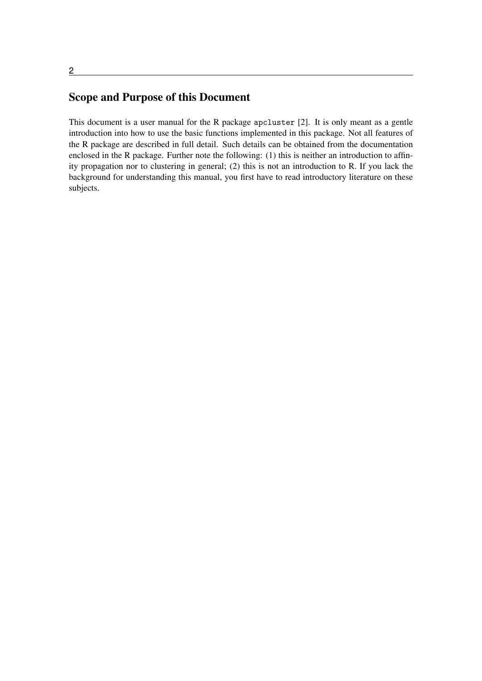### Scope and Purpose of this Document

This document is a user manual for the R package apcluster [\[2\]](#page-61-0). It is only meant as a gentle introduction into how to use the basic functions implemented in this package. Not all features of the R package are described in full detail. Such details can be obtained from the documentation enclosed in the R package. Further note the following: (1) this is neither an introduction to affinity propagation nor to clustering in general; (2) this is not an introduction to R. If you lack the background for understanding this manual, you first have to read introductory literature on these subjects.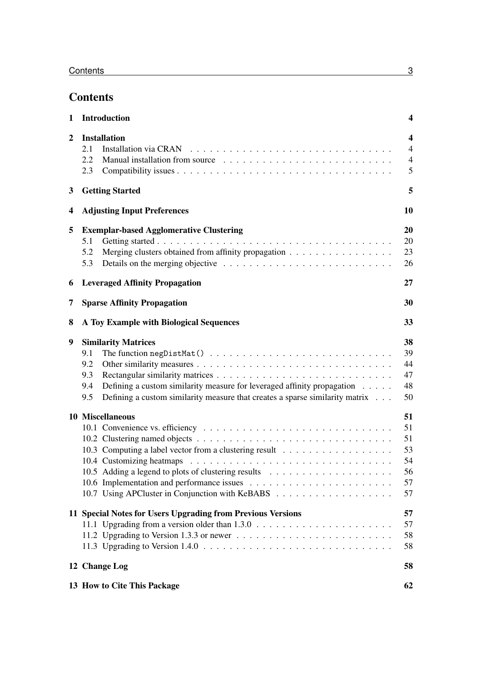### **Contents**

| 1              | <b>Introduction</b>                                                                                                                                                                                                                                                                     |                                                                  |  |  |  |  |  |  |  |  |  |
|----------------|-----------------------------------------------------------------------------------------------------------------------------------------------------------------------------------------------------------------------------------------------------------------------------------------|------------------------------------------------------------------|--|--|--|--|--|--|--|--|--|
| $\overline{2}$ | <b>Installation</b><br>2.1<br>2.2<br>2.3                                                                                                                                                                                                                                                | $\overline{\mathbf{4}}$<br>$\overline{4}$<br>$\overline{4}$<br>5 |  |  |  |  |  |  |  |  |  |
| 3              | <b>Getting Started</b>                                                                                                                                                                                                                                                                  | 5                                                                |  |  |  |  |  |  |  |  |  |
| 4              | <b>Adjusting Input Preferences</b>                                                                                                                                                                                                                                                      | 10                                                               |  |  |  |  |  |  |  |  |  |
| 5              | <b>Exemplar-based Agglomerative Clustering</b><br>5.1<br>Merging clusters obtained from affinity propagation<br>5.2<br>5.3                                                                                                                                                              | 20<br>20<br>23<br>26                                             |  |  |  |  |  |  |  |  |  |
| 6              | <b>Leveraged Affinity Propagation</b>                                                                                                                                                                                                                                                   | 27                                                               |  |  |  |  |  |  |  |  |  |
| 7              | <b>Sparse Affinity Propagation</b>                                                                                                                                                                                                                                                      | 30                                                               |  |  |  |  |  |  |  |  |  |
| 8              | A Toy Example with Biological Sequences                                                                                                                                                                                                                                                 | 33                                                               |  |  |  |  |  |  |  |  |  |
| 9              | <b>Similarity Matrices</b><br>9.1<br>9.2<br>9.3<br>Defining a custom similarity measure for leveraged affinity propagation<br>9.4<br>Defining a custom similarity measure that creates a sparse similarity matrix<br>9.5                                                                | 38<br>39<br>44<br>47<br>48<br>50                                 |  |  |  |  |  |  |  |  |  |
|                | 10 Miscellaneous                                                                                                                                                                                                                                                                        | 51<br>51<br>51<br>53<br>54<br>56<br>57<br>57                     |  |  |  |  |  |  |  |  |  |
|                | 11 Special Notes for Users Upgrading from Previous Versions<br>11.2 Upgrading to Version 1.3.3 or newer $\dots \dots \dots \dots \dots \dots \dots \dots \dots \dots$<br>11.3 Upgrading to Version $1.4.0 \ldots \ldots \ldots \ldots \ldots \ldots \ldots \ldots \ldots \ldots \ldots$ | 57<br>57<br>58<br>58                                             |  |  |  |  |  |  |  |  |  |
|                | 12 Change Log                                                                                                                                                                                                                                                                           | 58                                                               |  |  |  |  |  |  |  |  |  |
|                | 13 How to Cite This Package                                                                                                                                                                                                                                                             | 62                                                               |  |  |  |  |  |  |  |  |  |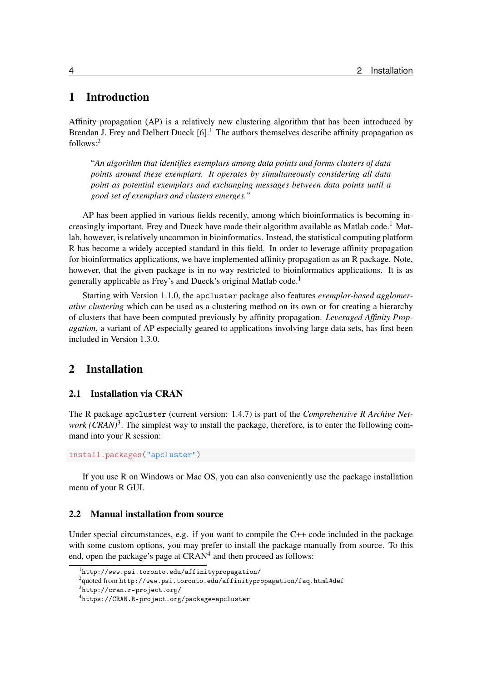### <span id="page-3-0"></span>1 Introduction

Affinity propagation (AP) is a relatively new clustering algorithm that has been introduced by Brendan J. Frey and Delbert Dueck  $[6]$ <sup>1</sup>. The authors themselves describe affinity propagation as follows:[2](#page-3-4)

"*An algorithm that identifies exemplars among data points and forms clusters of data points around these exemplars. It operates by simultaneously considering all data point as potential exemplars and exchanging messages between data points until a good set of exemplars and clusters emerges.*"

AP has been applied in various fields recently, among which bioinformatics is becoming increasingly important. Frey and Dueck have made their algorithm available as Matlab code.<sup>1</sup> Matlab, however, is relatively uncommon in bioinformatics. Instead, the statistical computing platform R has become a widely accepted standard in this field. In order to leverage affinity propagation for bioinformatics applications, we have implemented affinity propagation as an R package. Note, however, that the given package is in no way restricted to bioinformatics applications. It is as generally applicable as Frey's and Dueck's original Matlab code.<sup>1</sup>

Starting with Version 1.1.0, the apcluster package also features *exemplar-based agglomerative clustering* which can be used as a clustering method on its own or for creating a hierarchy of clusters that have been computed previously by affinity propagation. *Leveraged Affinity Propagation*, a variant of AP especially geared to applications involving large data sets, has first been included in Version 1.3.0.

### <span id="page-3-1"></span>2 Installation

### <span id="page-3-2"></span>2.1 Installation via CRAN

The R package apcluster (current version: 1.4.7) is part of the *Comprehensive R Archive Net-*work (CRAN)<sup>[3](#page-3-5)</sup>. The simplest way to install the package, therefore, is to enter the following command into your R session:

install.packages("apcluster")

If you use R on Windows or Mac OS, you can also conveniently use the package installation menu of your R GUI.

### <span id="page-3-3"></span>2.2 Manual installation from source

Under special circumstances, e.g. if you want to compile the C++ code included in the package with some custom options, you may prefer to install the package manually from source. To this end, open the package's page at  $CRAM<sup>4</sup>$  $CRAM<sup>4</sup>$  $CRAM<sup>4</sup>$  and then proceed as follows:

<sup>1</sup> <http://www.psi.toronto.edu/affinitypropagation/>

<span id="page-3-4"></span> $^2$ quoted from <code><http://www.psi.toronto.edu/affinitypropagation/faq.html#def></code>

<span id="page-3-5"></span> $^3$ <http://cran.r-project.org/>

<span id="page-3-6"></span><sup>4</sup> <https://CRAN.R-project.org/package=apcluster>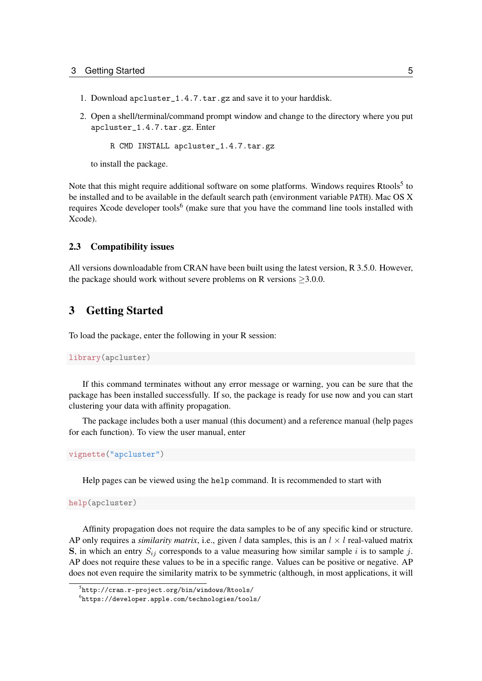- 1. Download apcluster\_1.4.7.tar.gz and save it to your harddisk.
- 2. Open a shell/terminal/command prompt window and change to the directory where you put apcluster\_1.4.7.tar.gz. Enter

R CMD INSTALL apcluster\_1.4.7.tar.gz

to install the package.

Note that this might require additional software on some platforms. Windows requires Rtools<sup>[5](#page-4-2)</sup> to be installed and to be available in the default search path (environment variable PATH). Mac OS X requires Xcode developer tools<sup>[6](#page-4-3)</sup> (make sure that you have the command line tools installed with Xcode).

### <span id="page-4-0"></span>2.3 Compatibility issues

All versions downloadable from CRAN have been built using the latest version, R 3.5.0. However, the package should work without severe problems on R versions  $\geq 3.0.0$ .

### <span id="page-4-1"></span>3 Getting Started

To load the package, enter the following in your R session:

```
library(apcluster)
```
If this command terminates without any error message or warning, you can be sure that the package has been installed successfully. If so, the package is ready for use now and you can start clustering your data with affinity propagation.

The package includes both a user manual (this document) and a reference manual (help pages for each function). To view the user manual, enter

vignette("apcluster")

Help pages can be viewed using the help command. It is recommended to start with

help(apcluster)

Affinity propagation does not require the data samples to be of any specific kind or structure. AP only requires a *similarity matrix*, i.e., given l data samples, this is an  $l \times l$  real-valued matrix S, in which an entry  $S_{ij}$  corresponds to a value measuring how similar sample i is to sample j. AP does not require these values to be in a specific range. Values can be positive or negative. AP does not even require the similarity matrix to be symmetric (although, in most applications, it will

<span id="page-4-2"></span><sup>5</sup> <http://cran.r-project.org/bin/windows/Rtools/>

<span id="page-4-3"></span> $^6$ <https://developer.apple.com/technologies/tools/>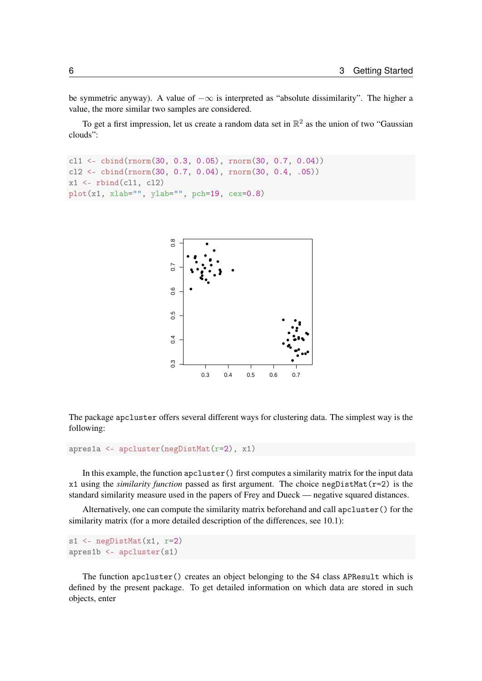be symmetric anyway). A value of  $-\infty$  is interpreted as "absolute dissimilarity". The higher a value, the more similar two samples are considered.

To get a first impression, let us create a random data set in  $\mathbb{R}^2$  as the union of two "Gaussian clouds":

```
cl1 <- cbind(rnorm(30, 0.3, 0.05), rnorm(30, 0.7, 0.04))
cl2 <- cbind(rnorm(30, 0.7, 0.04), rnorm(30, 0.4, .05))
x1 \leftarrow rbind(cl1, cl2)
plot(x1, xlab="", ylab="", pch=19, cex=0.8)
```


The package apcluster offers several different ways for clustering data. The simplest way is the following:

```
apres1a <- apcluster(negDistMat(r=2), x1)
```
In this example, the function apcluster () first computes a similarity matrix for the input data x1 using the *similarity function* passed as first argument. The choice negDistMat(r=2) is the standard similarity measure used in the papers of Frey and Dueck — negative squared distances.

Alternatively, one can compute the similarity matrix beforehand and call apcluster() for the similarity matrix (for a more detailed description of the differences, see [10.1\)](#page-50-1):

```
s1 \leftarrow negDistMat(x1, r=2)
apres1b <- apcluster(s1)
```
The function apcluster() creates an object belonging to the S4 class APResult which is defined by the present package. To get detailed information on which data are stored in such objects, enter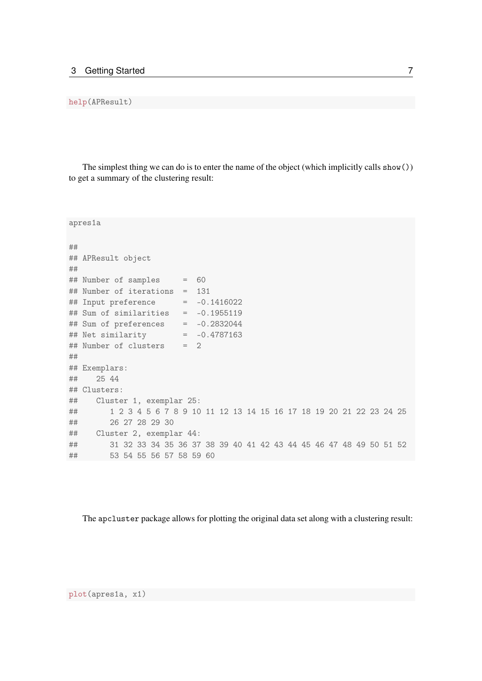#### help(APResult)

The simplest thing we can do is to enter the name of the object (which implicitly calls  $show()$ ) to get a summary of the clustering result:

```
apres1a
##
## APResult object
##
## Number of samples = 60
## Number of iterations = 131
\## Input preference = -0.1416022## Sum of similarities = -0.1955119
## Sum of preferences = -0.2832044
## Net similarity = -0.4787163
## Number of clusters = 2
##
## Exemplars:
## 25 44
## Clusters:
## Cluster 1, exemplar 25:
## 1 2 3 4 5 6 7 8 9 10 11 12 13 14 15 16 17 18 19 20 21 22 23 24 25
## 26 27 28 29 30
## Cluster 2, exemplar 44:
## 31 32 33 34 35 36 37 38 39 40 41 42 43 44 45 46 47 48 49 50 51 52
## 53 54 55 56 57 58 59 60
```
The apcluster package allows for plotting the original data set along with a clustering result: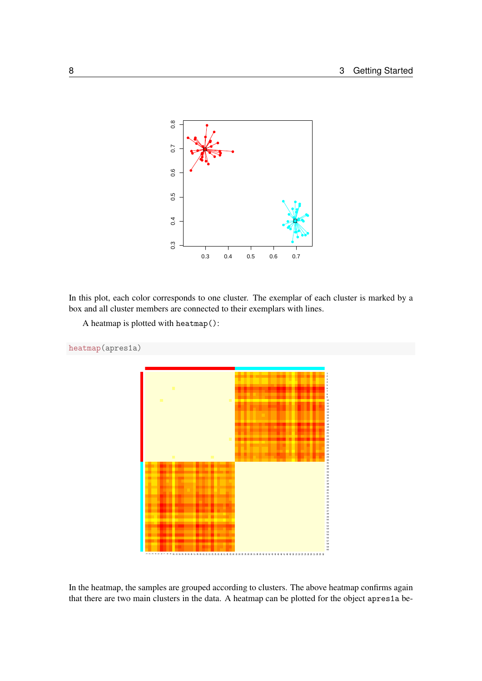

In this plot, each color corresponds to one cluster. The exemplar of each cluster is marked by a box and all cluster members are connected to their exemplars with lines.

```
A heatmap is plotted with heatmap():
```


In the heatmap, the samples are grouped according to clusters. The above heatmap confirms again that there are two main clusters in the data. A heatmap can be plotted for the object apres1a be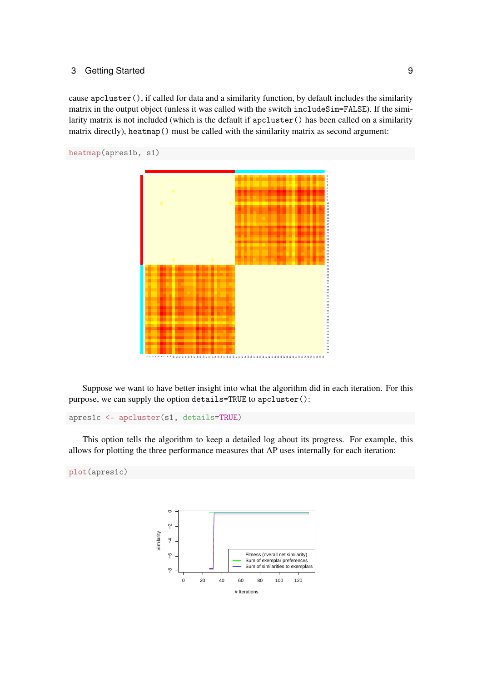cause apcluster(), if called for data and a similarity function, by default includes the similarity matrix in the output object (unless it was called with the switch includeSim=FALSE). If the similarity matrix is not included (which is the default if apcluster() has been called on a similarity matrix directly), heatmap() must be called with the similarity matrix as second argument:

```
heatmap(apres1b, s1)
```


Suppose we want to have better insight into what the algorithm did in each iteration. For this purpose, we can supply the option details=TRUE to apcluster():

```
apres1c <- apcluster(s1, details=TRUE)
```
This option tells the algorithm to keep a detailed log about its progress. For example, this allows for plotting the three performance measures that AP uses internally for each iteration:

```
plot(apres1c)
```
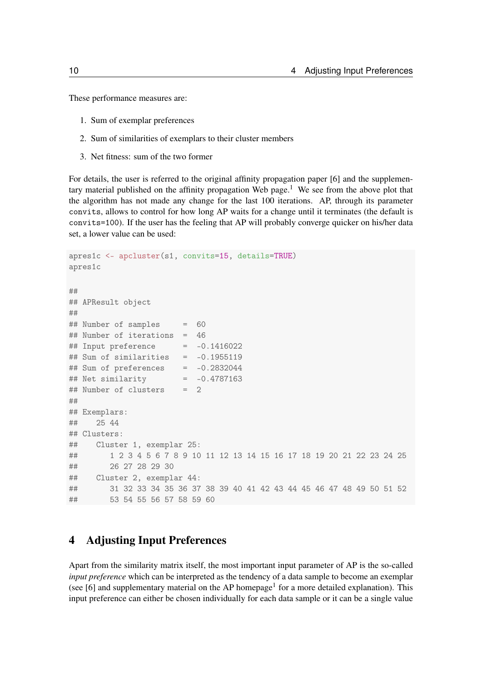These performance measures are:

- 1. Sum of exemplar preferences
- 2. Sum of similarities of exemplars to their cluster members
- 3. Net fitness: sum of the two former

For details, the user is referred to the original affinity propagation paper [\[6\]](#page-61-2) and the supplementary material published on the affinity propagation Web page.<sup>1</sup> We see from the above plot that the algorithm has not made any change for the last 100 iterations. AP, through its parameter convits, allows to control for how long AP waits for a change until it terminates (the default is convits=100). If the user has the feeling that AP will probably converge quicker on his/her data set, a lower value can be used:

```
apres1c <- apcluster(s1, convits=15, details=TRUE)
apres1c
### APResult object
##
## Number of samples = 60
## Number of iterations = 46
\## Input preference = -0.1416022## Sum of similarities = -0.1955119
## Sum of preferences = -0.2832044## Net similarity = -0.4787163
## Number of clusters = 2
##
## Exemplars:
## 25 44
## Clusters:
## Cluster 1, exemplar 25:
## 1 2 3 4 5 6 7 8 9 10 11 12 13 14 15 16 17 18 19 20 21 22 23 24 25
## 26 27 28 29 30
## Cluster 2, exemplar 44:
## 31 32 33 34 35 36 37 38 39 40 41 42 43 44 45 46 47 48 49 50 51 52
## 53 54 55 56 57 58 59 60
```
### <span id="page-9-0"></span>4 Adjusting Input Preferences

Apart from the similarity matrix itself, the most important input parameter of AP is the so-called *input preference* which can be interpreted as the tendency of a data sample to become an exemplar (see [\[6\]](#page-61-2) and supplementary material on the AP homepage<sup>1</sup> for a more detailed explanation). This input preference can either be chosen individually for each data sample or it can be a single value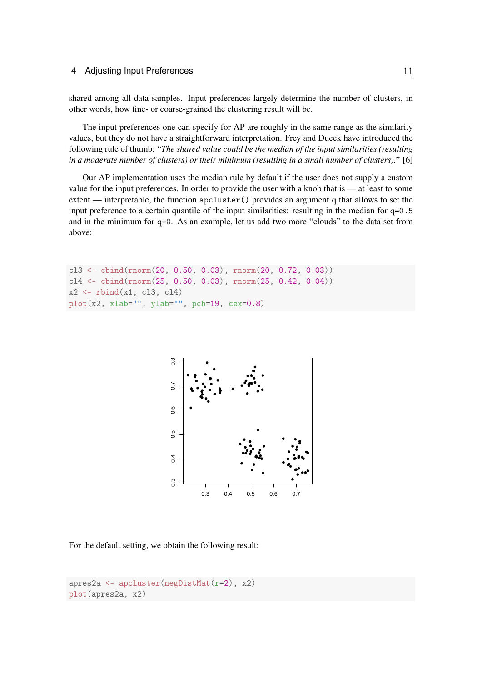shared among all data samples. Input preferences largely determine the number of clusters, in other words, how fine- or coarse-grained the clustering result will be.

The input preferences one can specify for AP are roughly in the same range as the similarity values, but they do not have a straightforward interpretation. Frey and Dueck have introduced the following rule of thumb: "*The shared value could be the median of the input similarities (resulting in a moderate number of clusters) or their minimum (resulting in a small number of clusters).*" [\[6\]](#page-61-2)

Our AP implementation uses the median rule by default if the user does not supply a custom value for the input preferences. In order to provide the user with a knob that is — at least to some extent — interpretable, the function apcluster() provides an argument q that allows to set the input preference to a certain quantile of the input similarities: resulting in the median for  $q=0.5$ and in the minimum for q=0. As an example, let us add two more "clouds" to the data set from above:

```
cl3 <- cbind(rnorm(20, 0.50, 0.03), rnorm(20, 0.72, 0.03))
c14 \leftarrow \text{cbind}(\text{rnorm}(25, 0.50, 0.03), \text{rnorm}(25, 0.42, 0.04))x2 \leftarrow rbind(x1, cl3, cl4)
plot(x2, xlab="", ylab="", pch=19, cex=0.8)
```


For the default setting, we obtain the following result:

```
apres2a <- apcluster(negDistMat(r=2), x2)
plot(apres2a, x2)
```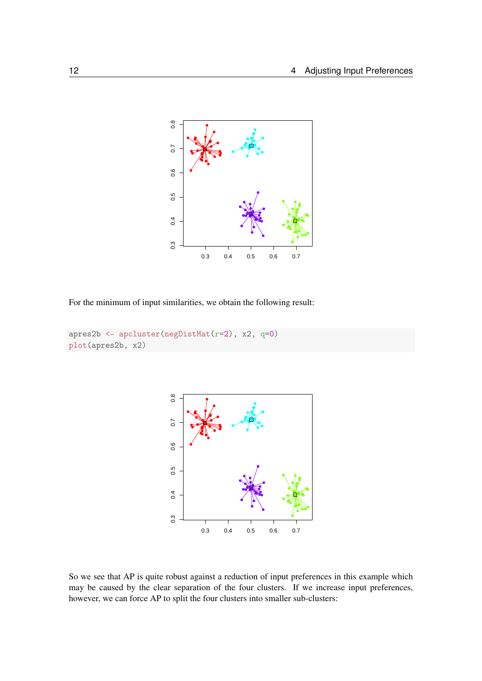

For the minimum of input similarities, we obtain the following result:

```
apres2b <- apcluster(negDistMat(r=2), x2, q=0)
plot(apres2b, x2)
```


So we see that AP is quite robust against a reduction of input preferences in this example which may be caused by the clear separation of the four clusters. If we increase input preferences, however, we can force AP to split the four clusters into smaller sub-clusters: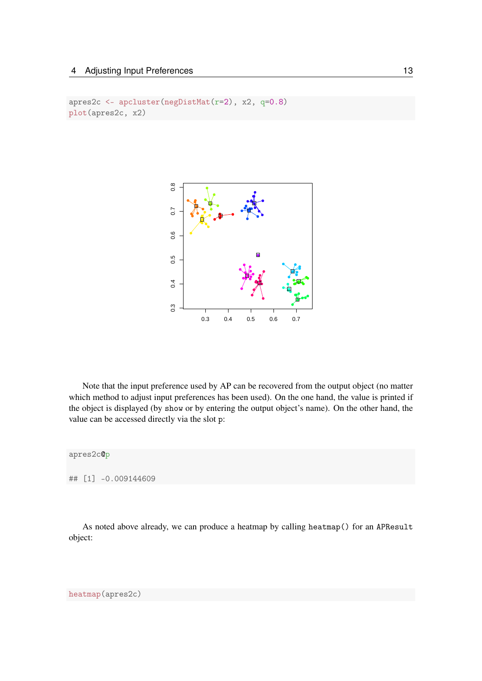### 4 Adjusting Input Preferences 13

```
apres2c <- apcluster(negDistMat(r=2), x2, q=0.8)
plot(apres2c, x2)
```


Note that the input preference used by AP can be recovered from the output object (no matter which method to adjust input preferences has been used). On the one hand, the value is printed if the object is displayed (by show or by entering the output object's name). On the other hand, the value can be accessed directly via the slot p:

apres2c@p

## [1] -0.009144609

As noted above already, we can produce a heatmap by calling heatmap() for an APResult object:

heatmap(apres2c)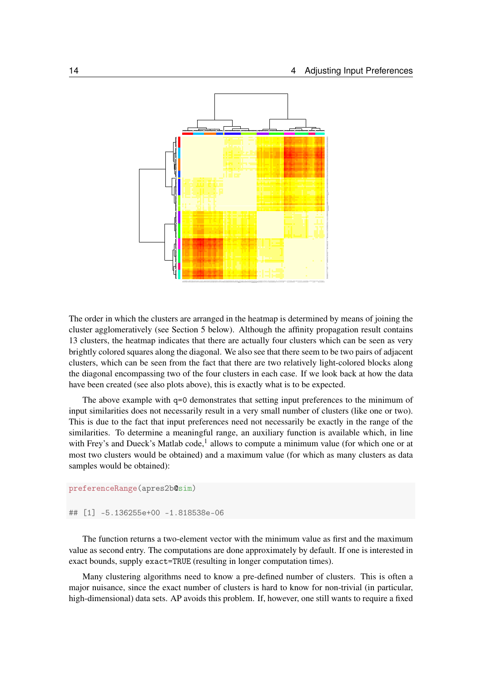

The order in which the clusters are arranged in the heatmap is determined by means of joining the cluster agglomeratively (see Section [5](#page-19-0) below). Although the affinity propagation result contains 13 clusters, the heatmap indicates that there are actually four clusters which can be seen as very brightly colored squares along the diagonal. We also see that there seem to be two pairs of adjacent clusters, which can be seen from the fact that there are two relatively light-colored blocks along the diagonal encompassing two of the four clusters in each case. If we look back at how the data have been created (see also plots above), this is exactly what is to be expected.

The above example with  $q=0$  demonstrates that setting input preferences to the minimum of input similarities does not necessarily result in a very small number of clusters (like one or two). This is due to the fact that input preferences need not necessarily be exactly in the range of the similarities. To determine a meaningful range, an auxiliary function is available which, in line with Frey's and Dueck's Matlab code,<sup>1</sup> allows to compute a minimum value (for which one or at most two clusters would be obtained) and a maximum value (for which as many clusters as data samples would be obtained):

```
preferenceRange(apres2b@sim)
```
## [1] -5.136255e+00 -1.818538e-06

The function returns a two-element vector with the minimum value as first and the maximum value as second entry. The computations are done approximately by default. If one is interested in exact bounds, supply exact=TRUE (resulting in longer computation times).

Many clustering algorithms need to know a pre-defined number of clusters. This is often a major nuisance, since the exact number of clusters is hard to know for non-trivial (in particular, high-dimensional) data sets. AP avoids this problem. If, however, one still wants to require a fixed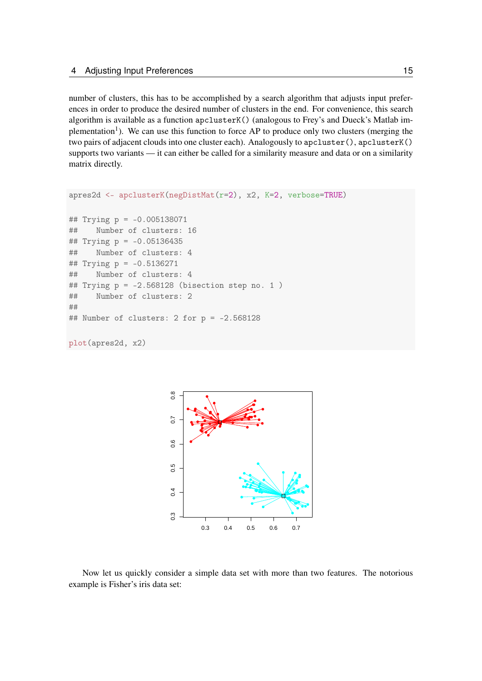number of clusters, this has to be accomplished by a search algorithm that adjusts input preferences in order to produce the desired number of clusters in the end. For convenience, this search algorithm is available as a function apclusterK() (analogous to Frey's and Dueck's Matlab implementation<sup>1</sup>). We can use this function to force AP to produce only two clusters (merging the two pairs of adjacent clouds into one cluster each). Analogously to apcluster(), apclusterK() supports two variants — it can either be called for a similarity measure and data or on a similarity matrix directly.

```
apres2d <- apclusterK(negDistMat(r=2), x2, K=2, verbose=TRUE)
## Trying p = -0.005138071
## Number of clusters: 16
## Trying p = -0.05136435
## Number of clusters: 4
## Trying p = -0.5136271
## Number of clusters: 4
## Trying p = -2.568128 (bisection step no. 1)
## Number of clusters: 2
##
## Number of clusters: 2 for p = -2.568128
```
plot(apres2d, x2)



Now let us quickly consider a simple data set with more than two features. The notorious example is Fisher's iris data set: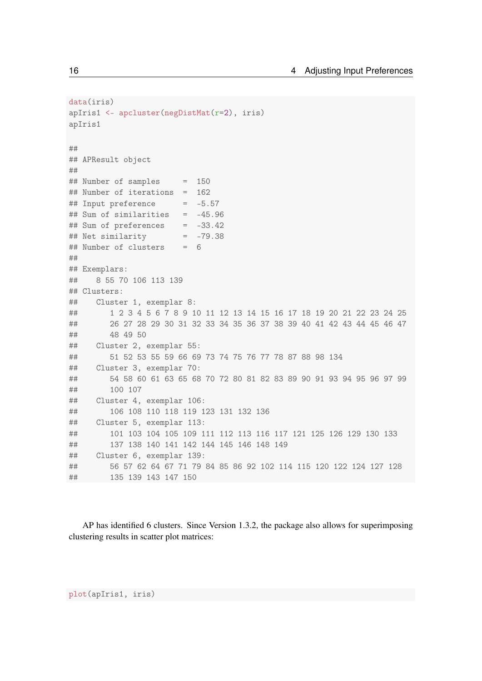```
data(iris)
apIris1 <- apcluster(negDistMat(r=2), iris)
apIris1
##
## APResult object
##
## Number of samples = 150
## Number of iterations = 162
## Input preference = -5.57
## Sum of similarities = -45.96
## Sum of preferences = -33.42
\# Net similarity = -79.38## Number of clusters = 6
##
## Exemplars:
## 8 55 70 106 113 139
## Clusters:
## Cluster 1, exemplar 8:
## 1 2 3 4 5 6 7 8 9 10 11 12 13 14 15 16 17 18 19 20 21 22 23 24 25
## 26 27 28 29 30 31 32 33 34 35 36 37 38 39 40 41 42 43 44 45 46 47
## 48 49 50
## Cluster 2, exemplar 55:
## 51 52 53 55 59 66 69 73 74 75 76 77 78 87 88 98 134
## Cluster 3, exemplar 70:
## 54 58 60 61 63 65 68 70 72 80 81 82 83 89 90 91 93 94 95 96 97 99
## 100 107
## Cluster 4, exemplar 106:
## 106 108 110 118 119 123 131 132 136
## Cluster 5, exemplar 113:
## 101 103 104 105 109 111 112 113 116 117 121 125 126 129 130 133
## 137 138 140 141 142 144 145 146 148 149
## Cluster 6, exemplar 139:
## 56 57 62 64 67 71 79 84 85 86 92 102 114 115 120 122 124 127 128
## 135 139 143 147 150
```
AP has identified 6 clusters. Since Version 1.3.2, the package also allows for superimposing clustering results in scatter plot matrices:

plot(apIris1, iris)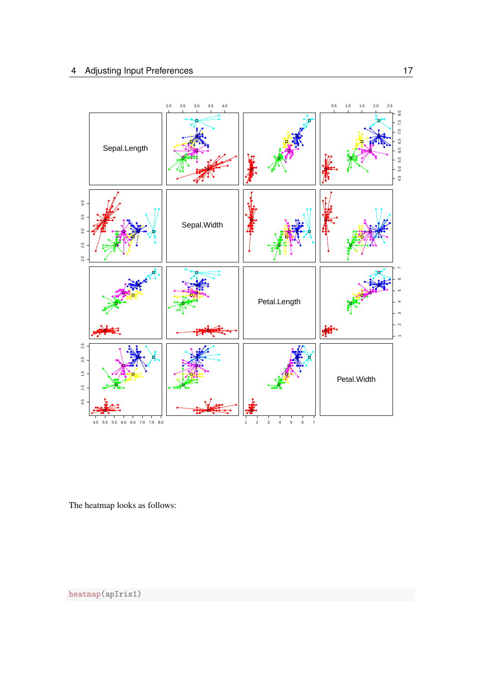

The heatmap looks as follows:

heatmap(apIris1)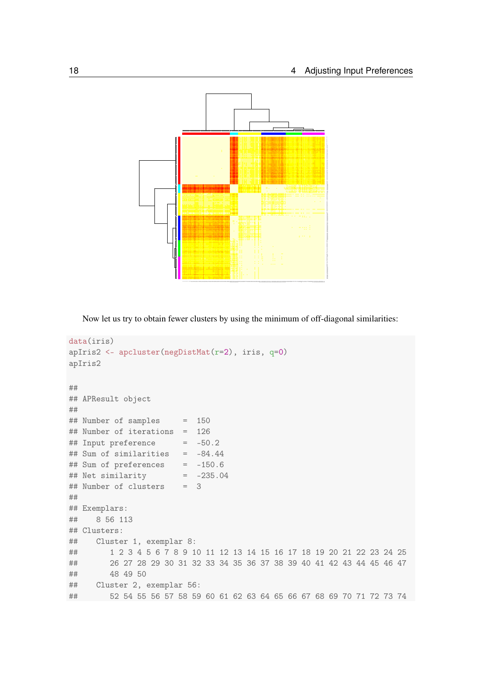

Now let us try to obtain fewer clusters by using the minimum of off-diagonal similarities:

```
data(iris)
apIris2 <- apcluster(negDistMat(r=2), iris, q=0)
apIris2
##
## APResult object
##
## Number of samples = 150
## Number of iterations = 126
\## Input preference = -50.2## Sum of similarities = -84.44
## Sum of preferences = -150.6
## Net similarity = -235.04
## Number of clusters = 3
##
## Exemplars:
## 8 56 113
## Clusters:
## Cluster 1, exemplar 8:
## 1 2 3 4 5 6 7 8 9 10 11 12 13 14 15 16 17 18 19 20 21 22 23 24 25
## 26 27 28 29 30 31 32 33 34 35 36 37 38 39 40 41 42 43 44 45 46 47
## 48 49 50
## Cluster 2, exemplar 56:
## 52 54 55 56 57 58 59 60 61 62 63 64 65 66 67 68 69 70 71 72 73 74
```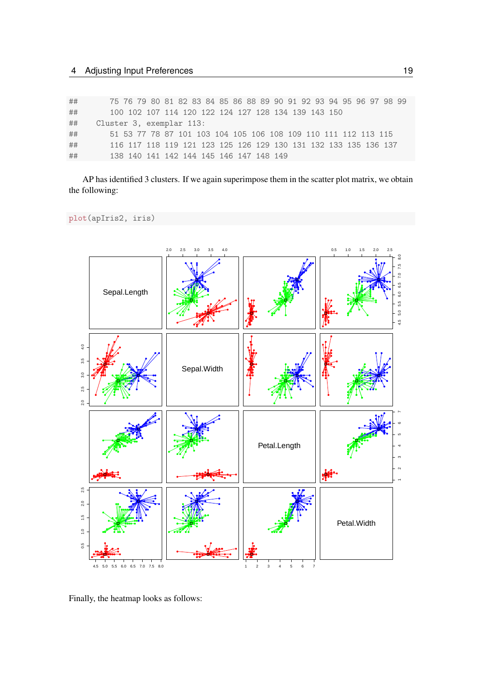| ## | 75 76 79 80 81 82 83 84 85 86 88 89 90 91 92 93 94 95 96 97 98 99 |
|----|-------------------------------------------------------------------|
| ## | 100 102 107 114 120 122 124 127 128 134 139 143 150               |
| ## | Cluster 3, exemplar 113:                                          |
| ## | 51 53 77 78 87 101 103 104 105 106 108 109 110 111 112 113 115    |
| ## | 116 117 118 119 121 123 125 126 129 130 131 132 133 135 136 137   |
| ## | 138 140 141 142 144 145 146 147 148 149                           |

AP has identified 3 clusters. If we again superimpose them in the scatter plot matrix, we obtain the following:

plot(apIris2, iris)



Finally, the heatmap looks as follows: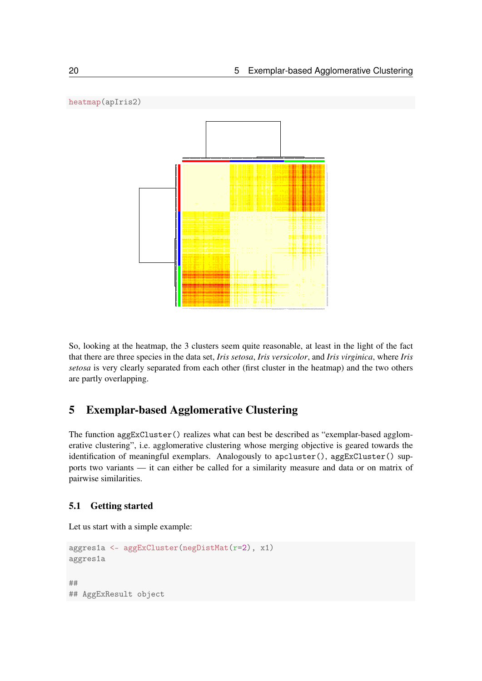

So, looking at the heatmap, the 3 clusters seem quite reasonable, at least in the light of the fact that there are three species in the data set, *Iris setosa*, *Iris versicolor*, and *Iris virginica*, where *Iris setosa* is very clearly separated from each other (first cluster in the heatmap) and the two others are partly overlapping.

### <span id="page-19-0"></span>5 Exemplar-based Agglomerative Clustering

The function aggExCluster() realizes what can best be described as "exemplar-based agglomerative clustering", i.e. agglomerative clustering whose merging objective is geared towards the identification of meaningful exemplars. Analogously to apcluster(), aggExCluster() supports two variants — it can either be called for a similarity measure and data or on matrix of pairwise similarities.

### <span id="page-19-1"></span>5.1 Getting started

Let us start with a simple example:

```
aggres1a <- aggExCluster(negDistMat(r=2), x1)
aggres1a
##
## AggExResult object
```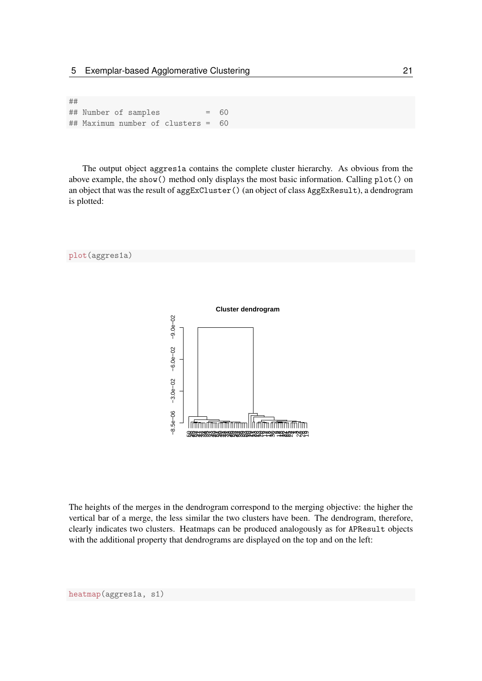## ## Number of samples = 60 ## Maximum number of clusters = 60

The output object aggres1a contains the complete cluster hierarchy. As obvious from the above example, the show() method only displays the most basic information. Calling plot() on an object that was the result of aggExCluster() (an object of class AggExResult), a dendrogram is plotted:



The heights of the merges in the dendrogram correspond to the merging objective: the higher the vertical bar of a merge, the less similar the two clusters have been. The dendrogram, therefore, clearly indicates two clusters. Heatmaps can be produced analogously as for APResult objects with the additional property that dendrograms are displayed on the top and on the left: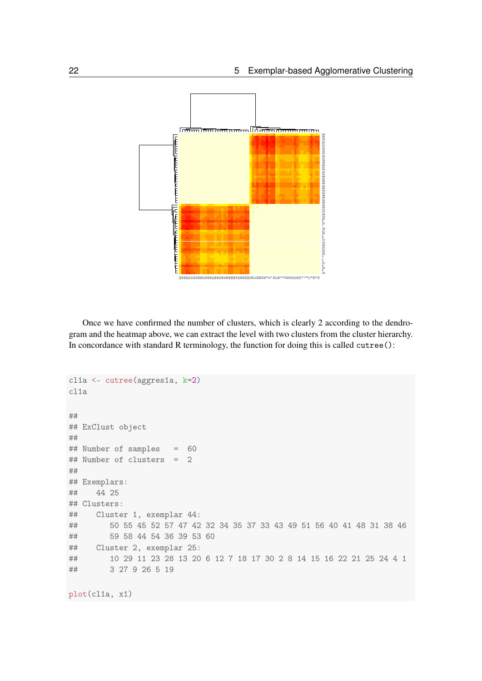

Once we have confirmed the number of clusters, which is clearly 2 according to the dendrogram and the heatmap above, we can extract the level with two clusters from the cluster hierarchy. In concordance with standard R terminology, the function for doing this is called cutree():

```
cl1a <- cutree(aggres1a, k=2)
cl1a
##
## ExClust object
##
## Number of samples = 60
## Number of clusters = 2
##
## Exemplars:
## 44 25
## Clusters:
## Cluster 1, exemplar 44:
## 50 55 45 52 57 47 42 32 34 35 37 33 43 49 51 56 40 41 48 31 38 46
## 59 58 44 54 36 39 53 60
## Cluster 2, exemplar 25:
## 10 29 11 23 28 13 20 6 12 7 18 17 30 2 8 14 15 16 22 21 25 24 4 1
## 3 27 9 26 5 19
```
plot(cl1a, x1)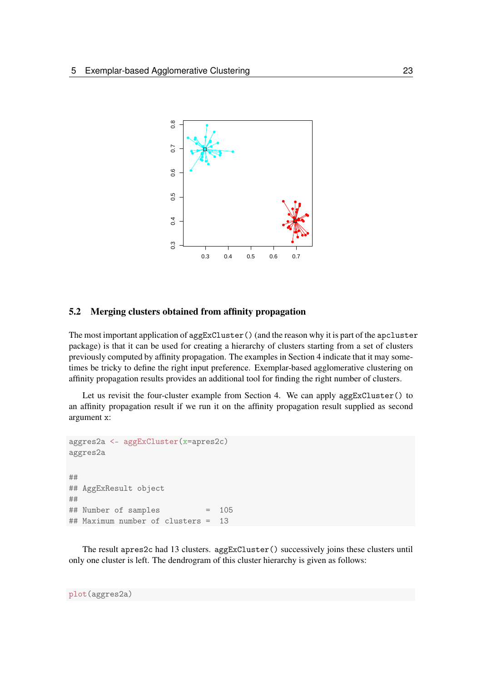

### <span id="page-22-0"></span>5.2 Merging clusters obtained from affinity propagation

The most important application of aggExCluster() (and the reason why it is part of the apcluster package) is that it can be used for creating a hierarchy of clusters starting from a set of clusters previously computed by affinity propagation. The examples in Section [4](#page-9-0) indicate that it may sometimes be tricky to define the right input preference. Exemplar-based agglomerative clustering on affinity propagation results provides an additional tool for finding the right number of clusters.

Let us revisit the four-cluster example from Section [4.](#page-9-0) We can apply aggExCluster() to an affinity propagation result if we run it on the affinity propagation result supplied as second argument x:

```
aggres2a <- aggExCluster(x=apres2c)
aggres2a
##
## AggExResult object
##
## Number of samples = 105
## Maximum number of clusters = 13
```
The result apres2c had 13 clusters. aggExCluster() successively joins these clusters until only one cluster is left. The dendrogram of this cluster hierarchy is given as follows: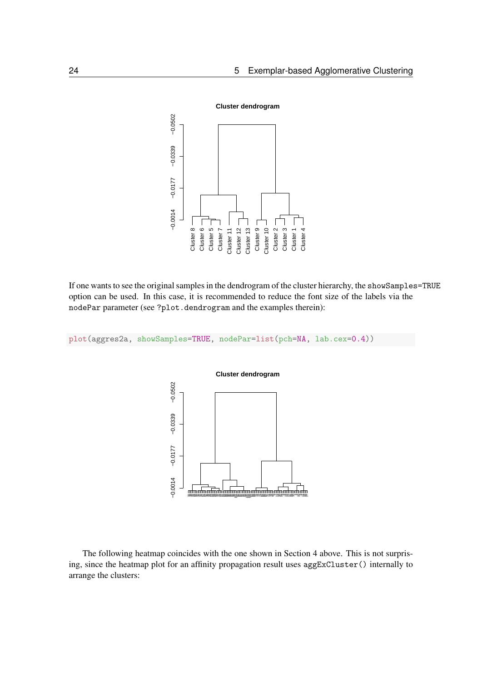

If one wants to see the original samples in the dendrogram of the cluster hierarchy, the showSamples=TRUE option can be used. In this case, it is recommended to reduce the font size of the labels via the nodePar parameter (see ?plot.dendrogram and the examples therein):

plot(aggres2a, showSamples=TRUE, nodePar=list(pch=NA, lab.cex=0.4))



The following heatmap coincides with the one shown in Section [4](#page-9-0) above. This is not surprising, since the heatmap plot for an affinity propagation result uses aggExCluster() internally to arrange the clusters: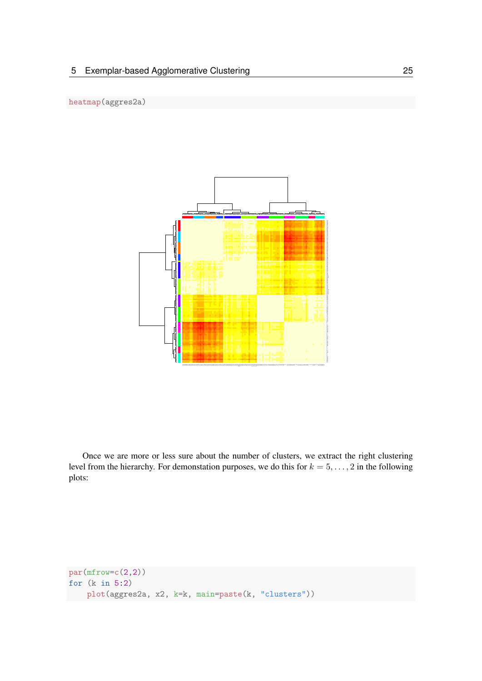

Once we are more or less sure about the number of clusters, we extract the right clustering level from the hierarchy. For demonstation purposes, we do this for  $k = 5, \ldots, 2$  in the following plots:

```
par(mfrow=c(2,2))for (k in 5:2)
   plot(aggres2a, x2, k=k, main=paste(k, "clusters"))
```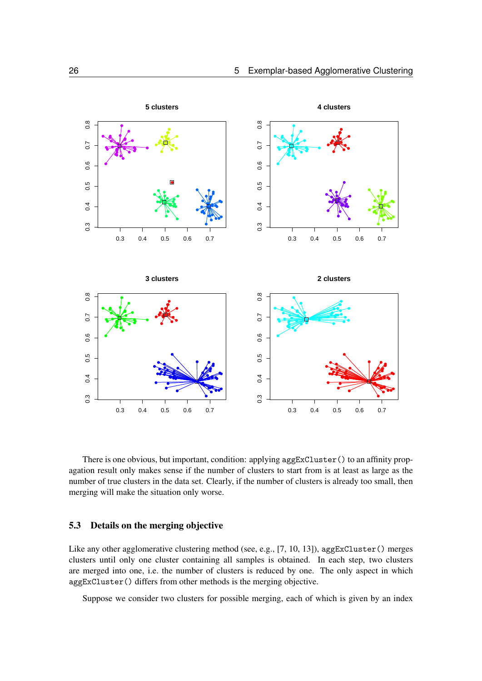

There is one obvious, but important, condition: applying aggExCluster() to an affinity propagation result only makes sense if the number of clusters to start from is at least as large as the number of true clusters in the data set. Clearly, if the number of clusters is already too small, then merging will make the situation only worse.

### <span id="page-25-0"></span>5.3 Details on the merging objective

Like any other agglomerative clustering method (see, e.g., [\[7,](#page-62-0) [10,](#page-62-1) [13\]](#page-62-2)), aggExCluster() merges clusters until only one cluster containing all samples is obtained. In each step, two clusters are merged into one, i.e. the number of clusters is reduced by one. The only aspect in which aggExCluster() differs from other methods is the merging objective.

Suppose we consider two clusters for possible merging, each of which is given by an index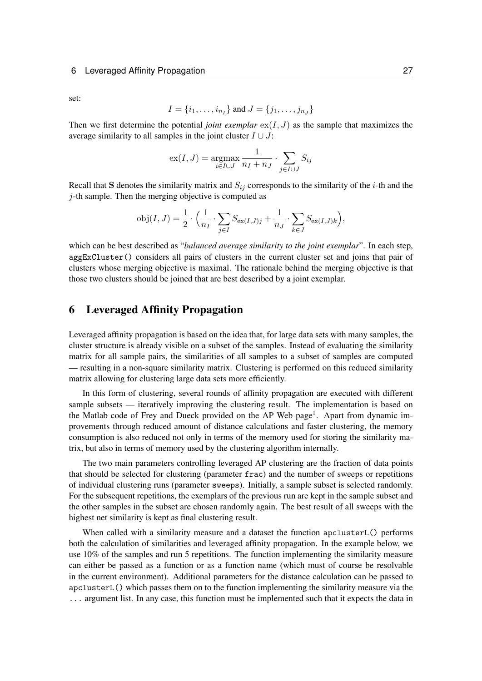set:

$$
I = \{i_1, \ldots, i_{n_I}\}\
$$
 and  $J = \{j_1, \ldots, j_{n_J}\}\$ 

Then we first determine the potential *joint exemplar*  $ex(I, J)$  as the sample that maximizes the average similarity to all samples in the joint cluster  $I \cup J$ :

$$
\mathrm{ex}(I, J) = \underset{i \in I \cup J}{\mathrm{argmax}} \frac{1}{n_I + n_J} \cdot \sum_{j \in I \cup J} S_{ij}
$$

Recall that S denotes the similarity matrix and  $S_{ij}$  corresponds to the similarity of the *i*-th and the  $j$ -th sample. Then the merging objective is computed as

$$
obj(I, J) = \frac{1}{2} \cdot \left( \frac{1}{n_I} \cdot \sum_{j \in I} S_{ex(I, J)j} + \frac{1}{n_J} \cdot \sum_{k \in J} S_{ex(I, J)k} \right),
$$

which can be best described as "*balanced average similarity to the joint exemplar*". In each step, aggExCluster() considers all pairs of clusters in the current cluster set and joins that pair of clusters whose merging objective is maximal. The rationale behind the merging objective is that those two clusters should be joined that are best described by a joint exemplar.

### <span id="page-26-0"></span>6 Leveraged Affinity Propagation

Leveraged affinity propagation is based on the idea that, for large data sets with many samples, the cluster structure is already visible on a subset of the samples. Instead of evaluating the similarity matrix for all sample pairs, the similarities of all samples to a subset of samples are computed — resulting in a non-square similarity matrix. Clustering is performed on this reduced similarity matrix allowing for clustering large data sets more efficiently.

In this form of clustering, several rounds of affinity propagation are executed with different sample subsets — iteratively improving the clustering result. The implementation is based on the Matlab code of Frey and Dueck provided on the AP Web page<sup>1</sup>. Apart from dynamic improvements through reduced amount of distance calculations and faster clustering, the memory consumption is also reduced not only in terms of the memory used for storing the similarity matrix, but also in terms of memory used by the clustering algorithm internally.

The two main parameters controlling leveraged AP clustering are the fraction of data points that should be selected for clustering (parameter frac) and the number of sweeps or repetitions of individual clustering runs (parameter sweeps). Initially, a sample subset is selected randomly. For the subsequent repetitions, the exemplars of the previous run are kept in the sample subset and the other samples in the subset are chosen randomly again. The best result of all sweeps with the highest net similarity is kept as final clustering result.

When called with a similarity measure and a dataset the function apcluster L() performs both the calculation of similarities and leveraged affinity propagation. In the example below, we use 10% of the samples and run 5 repetitions. The function implementing the similarity measure can either be passed as a function or as a function name (which must of course be resolvable in the current environment). Additional parameters for the distance calculation can be passed to apclusterL() which passes them on to the function implementing the similarity measure via the ... argument list. In any case, this function must be implemented such that it expects the data in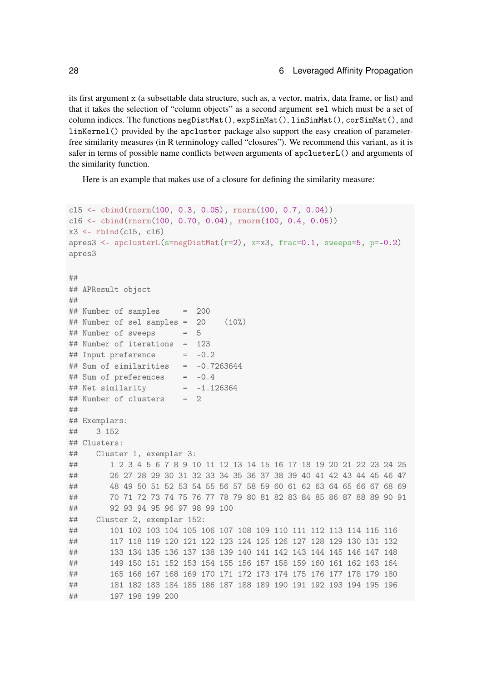its first argument x (a subsettable data structure, such as, a vector, matrix, data frame, or list) and that it takes the selection of "column objects" as a second argument sel which must be a set of column indices. The functions negDistMat(), expSimMat(), linSimMat(), corSimMat(), and linKernel() provided by the apcluster package also support the easy creation of parameterfree similarity measures (in R terminology called "closures"). We recommend this variant, as it is safer in terms of possible name conflicts between arguments of apclusterL() and arguments of the similarity function.

Here is an example that makes use of a closure for defining the similarity measure:

```
cl5 <- cbind(rnorm(100, 0.3, 0.05), rnorm(100, 0.7, 0.04))
cl6 <- cbind(rnorm(100, 0.70, 0.04), rnorm(100, 0.4, 0.05))
x3 \leftarrow \text{rbind}(\text{cl5}, \text{cl6})apres3 \leftarrow apclusterL(s=negDistMat(r=2), x=x3, frac=0.1, sweeps=5, p=-0.2)apres3
##
## APResult object
##
## Number of samples = 200
## Number of sel samples = 20 (10%)## Number of sweeps = 5
## Number of iterations = 123
## Input preference = -0.2
## Sum of similarities = -0.7263644## Sum of preferences = -0.4\## Net similarity = -1.126364## Number of clusters = 2
##
## Exemplars:
## 3 152
## Clusters:
## Cluster 1, exemplar 3:
## 1 2 3 4 5 6 7 8 9 10 11 12 13 14 15 16 17 18 19 20 21 22 23 24 25
## 26 27 28 29 30 31 32 33 34 35 36 37 38 39 40 41 42 43 44 45 46 47
## 48 49 50 51 52 53 54 55 56 57 58 59 60 61 62 63 64 65 66 67 68 69
## 70 71 72 73 74 75 76 77 78 79 80 81 82 83 84 85 86 87 88 89 90 91
## 92 93 94 95 96 97 98 99 100
## Cluster 2, exemplar 152:
## 101 102 103 104 105 106 107 108 109 110 111 112 113 114 115 116
## 117 118 119 120 121 122 123 124 125 126 127 128 129 130 131 132
## 133 134 135 136 137 138 139 140 141 142 143 144 145 146 147 148
## 149 150 151 152 153 154 155 156 157 158 159 160 161 162 163 164
## 165 166 167 168 169 170 171 172 173 174 175 176 177 178 179 180
## 181 182 183 184 185 186 187 188 189 190 191 192 193 194 195 196
## 197 198 199 200
```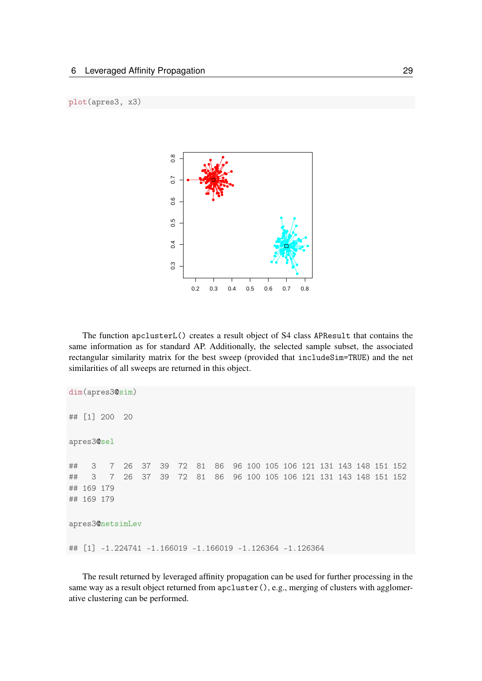

The function apclusterL() creates a result object of S4 class APResult that contains the same information as for standard AP. Additionally, the selected sample subset, the associated rectangular similarity matrix for the best sweep (provided that includeSim=TRUE) and the net similarities of all sweeps are returned in this object.

```
dim(apres3@sim)
## [1] 200 20
apres3@sel
## 3 7 26 37 39 72 81 86 96 100 105 106 121 131 143 148 151 152
## 3 7 26 37 39 72 81 86 96 100 105 106 121 131 143 148 151 152
## 169 179
## 169 179
apres3@netsimLev
## [1] -1.224741 -1.166019 -1.166019 -1.126364 -1.126364
```
The result returned by leveraged affinity propagation can be used for further processing in the same way as a result object returned from apcluster(), e.g., merging of clusters with agglomerative clustering can be performed.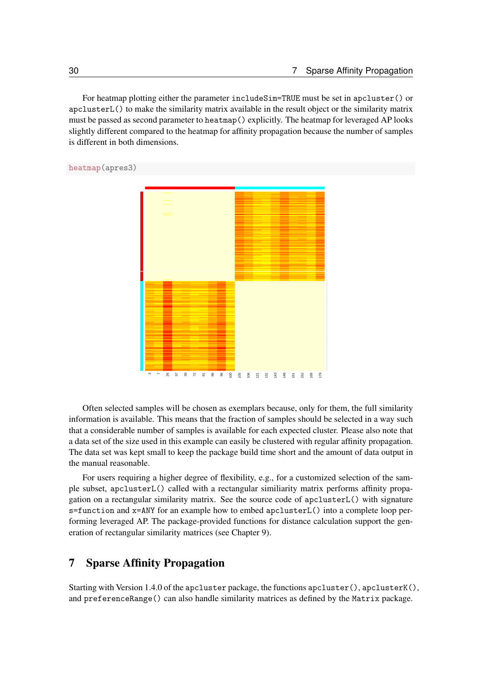For heatmap plotting either the parameter includeSim=TRUE must be set in apcluster() or apclusterL() to make the similarity matrix available in the result object or the similarity matrix must be passed as second parameter to heatmap() explicitly. The heatmap for leveraged AP looks slightly different compared to the heatmap for affinity propagation because the number of samples is different in both dimensions.

heatmap(apres3)



Often selected samples will be chosen as exemplars because, only for them, the full similarity information is available. This means that the fraction of samples should be selected in a way such that a considerable number of samples is available for each expected cluster. Please also note that a data set of the size used in this example can easily be clustered with regular affinity propagation. The data set was kept small to keep the package build time short and the amount of data output in the manual reasonable.

For users requiring a higher degree of flexibility, e.g., for a customized selection of the sample subset, apclusterL() called with a rectangular similiarity matrix performs affinity propagation on a rectangular similarity matrix. See the source code of apclusterL() with signature s=function and x=ANY for an example how to embed apclusterL() into a complete loop performing leveraged AP. The package-provided functions for distance calculation support the generation of rectangular similarity matrices (see Chapter [9\)](#page-37-0).

### <span id="page-29-0"></span>7 Sparse Affinity Propagation

Starting with Version 1.4.0 of the apcluster package, the functions apcluster  $(),$  apcluster  $K(),$ and preferenceRange() can also handle similarity matrices as defined by the Matrix package.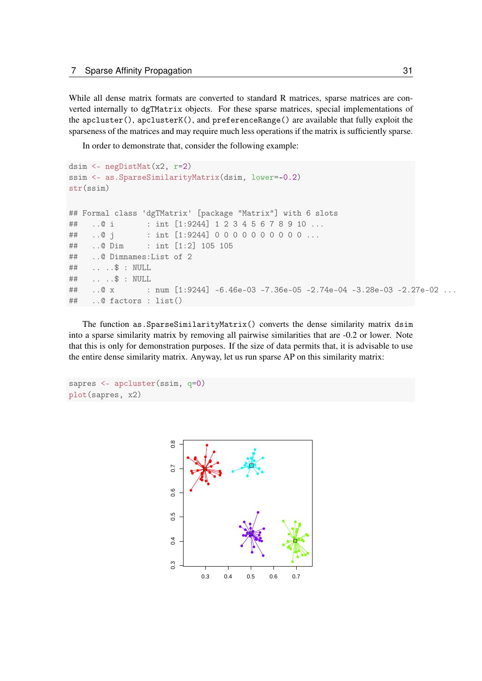While all dense matrix formats are converted to standard R matrices, sparse matrices are converted internally to dgTMatrix objects. For these sparse matrices, special implementations of the apcluster(), apclusterK(), and preferenceRange() are available that fully exploit the sparseness of the matrices and may require much less operations if the matrix is sufficiently sparse.

In order to demonstrate that, consider the following example:

```
dsim <- negDistMat(x2, r=2)
ssim <- as.SparseSimilarityMatrix(dsim, lower=-0.2)
str(ssim)
## Formal class 'dgTMatrix' [package "Matrix"] with 6 slots
## ..@ i : int [1:9244] 1 2 3 4 5 6 7 8 9 10 ...
## ..@ j : int [1:9244] 0 0 0 0 0 0 0 0 0 0 ...
## ..@ Dim : int [1:2] 105 105
## ..@ Dimnames:List of 2
## .. ..$ : NULL
## .. ..$ : NULL
## ..@ x : num [1:9244] -6.46e-03 -7.36e-05 -2.74e-04 -3.28e-03 -2.27e-02 ...
## ..@ factors : list()
```
The function as.SparseSimilarityMatrix() converts the dense similarity matrix dsim into a sparse similarity matrix by removing all pairwise similarities that are -0.2 or lower. Note that this is only for demonstration purposes. If the size of data permits that, it is advisable to use the entire dense similarity matrix. Anyway, let us run sparse AP on this similarity matrix:

```
sapres <- apcluster(ssim, q=0)
plot(sapres, x2)
```
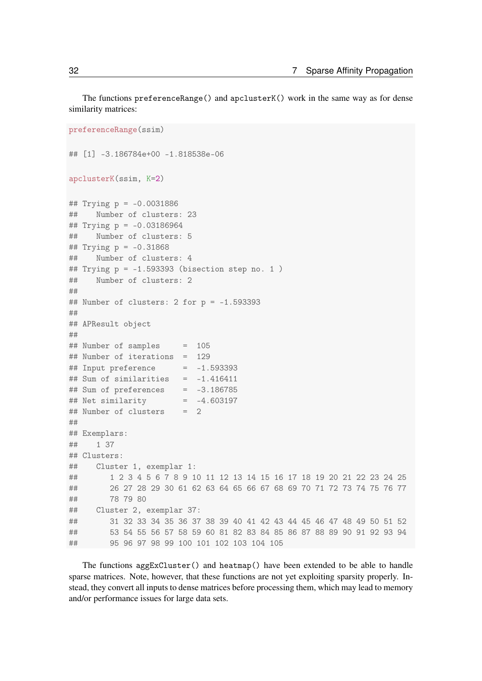The functions preferenceRange() and apclusterK() work in the same way as for dense similarity matrices:

```
preferenceRange(ssim)
## [1] -3.186784e+00 -1.818538e-06
apclusterK(ssim, K=2)
## Trying p = -0.0031886
## Number of clusters: 23
## Trying p = -0.03186964
## Number of clusters: 5
## Trying p = -0.31868
## Number of clusters: 4
## Trying p = -1.593393 (bisection step no. 1 )
## Number of clusters: 2
##
## Number of clusters: 2 for p = -1.593393
##
## APResult object
##
## Number of samples = 105
## Number of iterations = 129
\## Input preference = -1.593393\## Sum of similarities = -1.416411## Sum of preferences = -3.186785
## Net similarity = -4.603197
## Number of clusters = 2
##
## Exemplars:
## 1 37
## Clusters:
## Cluster 1, exemplar 1:
## 1 2 3 4 5 6 7 8 9 10 11 12 13 14 15 16 17 18 19 20 21 22 23 24 25
## 26 27 28 29 30 61 62 63 64 65 66 67 68 69 70 71 72 73 74 75 76 77
## 78 79 80
## Cluster 2, exemplar 37:
## 31 32 33 34 35 36 37 38 39 40 41 42 43 44 45 46 47 48 49 50 51 52
## 53 54 55 56 57 58 59 60 81 82 83 84 85 86 87 88 89 90 91 92 93 94
## 95 96 97 98 99 100 101 102 103 104 105
```
The functions aggExCluster() and heatmap() have been extended to be able to handle sparse matrices. Note, however, that these functions are not yet exploiting sparsity properly. Instead, they convert all inputs to dense matrices before processing them, which may lead to memory and/or performance issues for large data sets.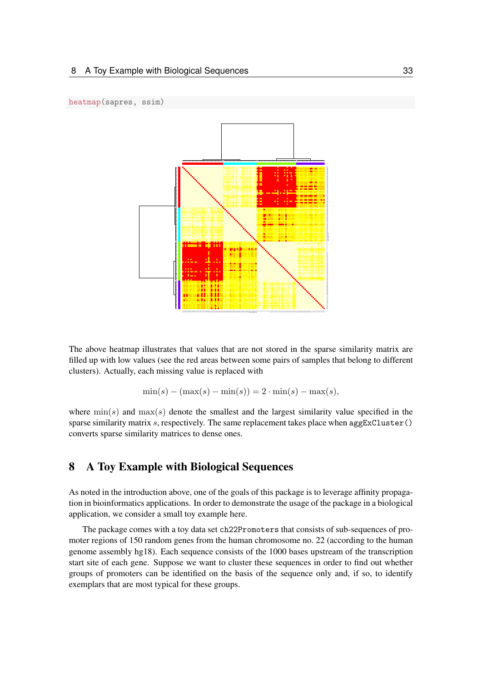

The above heatmap illustrates that values that are not stored in the sparse similarity matrix are filled up with low values (see the red areas between some pairs of samples that belong to different clusters). Actually, each missing value is replaced with

$$
\min(s) - (\max(s) - \min(s)) = 2 \cdot \min(s) - \max(s),
$$

where  $\min(s)$  and  $\max(s)$  denote the smallest and the largest similarity value specified in the sparse similarity matrix  $s$ , respectively. The same replacement takes place when aggExCluster() converts sparse similarity matrices to dense ones.

### <span id="page-32-0"></span>8 A Toy Example with Biological Sequences

As noted in the introduction above, one of the goals of this package is to leverage affinity propagation in bioinformatics applications. In order to demonstrate the usage of the package in a biological application, we consider a small toy example here.

The package comes with a toy data set ch22Promoters that consists of sub-sequences of promoter regions of 150 random genes from the human chromosome no. 22 (according to the human genome assembly hg18). Each sequence consists of the 1000 bases upstream of the transcription start site of each gene. Suppose we want to cluster these sequences in order to find out whether groups of promoters can be identified on the basis of the sequence only and, if so, to identify exemplars that are most typical for these groups.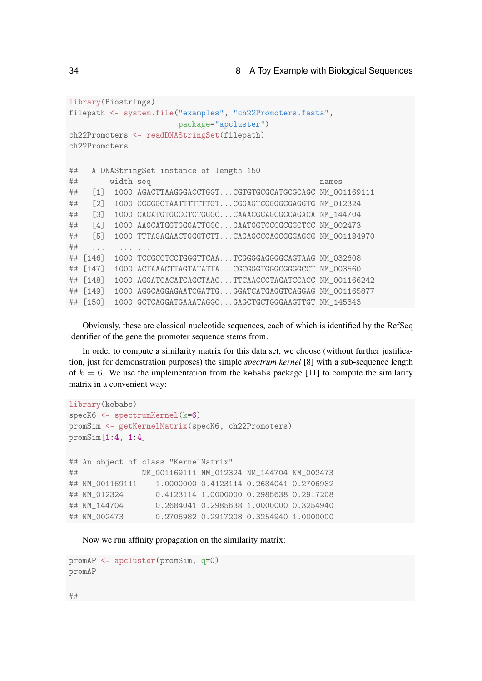```
library(Biostrings)
filepath <- system.file("examples", "ch22Promoters.fasta",
                      package="apcluster")
ch22Promoters <- readDNAStringSet(filepath)
ch22Promoters
## A DNAStringSet instance of length 150
## width seq names
## [1] 1000 AGACTTAAGGGACCTGGT...CGTGTGCGCATGCGCAGC NM_001169111
## [2] 1000 CCCGGCTAATTTTTTTGT...CGGAGTCCGGGCGAGGTG NM_012324
## [3] 1000 CACATGTGCCCTCTGGGC...CAAACGCAGCGCCAGACA NM_144704
## [4] 1000 AAGCATGGTGGGATTGGC...GAATGGTCCCGCGGCTCC NM_002473
## [5] 1000 TTTAGAGAACTGGGTCTT...CAGAGCCCAGCGGGAGCG NM_001184970
## ... ... ...
## [146] 1000 TCCGCCTCCTGGGTTCAA...TCGGGGAGGGCAGTAAG NM_032608
## [147] 1000 ACTAAACTTAGTATATTA...CGCGGGTGGGCGGGCCCT NM_003560
## [148] 1000 AGGATCACATCAGCTAAC...TTCAACCCTAGATCCACC NM_001166242
## [149] 1000 AGGCAGGAGAATCGATTG...GGATCATGAGGTCAGGAG NM_001165877
## [150] 1000 GCTCAGGATGAAATAGGC...GAGCTGCTGGGAAGTTGT NM_145343
```
Obviously, these are classical nucleotide sequences, each of which is identified by the RefSeq identifier of the gene the promoter sequence stems from.

In order to compute a similarity matrix for this data set, we choose (without further justification, just for demonstration purposes) the simple *spectrum kernel* [\[8\]](#page-62-3) with a sub-sequence length of  $k = 6$ . We use the implementation from the kebabs package [\[11\]](#page-62-4) to compute the similarity matrix in a convenient way:

```
library(kebabs)
specK6 <- spectrumKernel(k=6)
promSim <- getKernelMatrix(specK6, ch22Promoters)
promSim[1:4, 1:4]
## An object of class "KernelMatrix"
## NM_001169111 NM_012324 NM_144704 NM_002473
## NM_001169111 1.0000000 0.4123114 0.2684041 0.2706982
## NM_012324 0.4123114 1.0000000 0.2985638 0.2917208
## NM_144704 0.2684041 0.2985638 1.0000000 0.3254940
## NM_002473 0.2706982 0.2917208 0.3254940 1.0000000
```
Now we run affinity propagation on the similarity matrix:

```
promAP <- apcluster(promSim, q=0)
promAP
```
##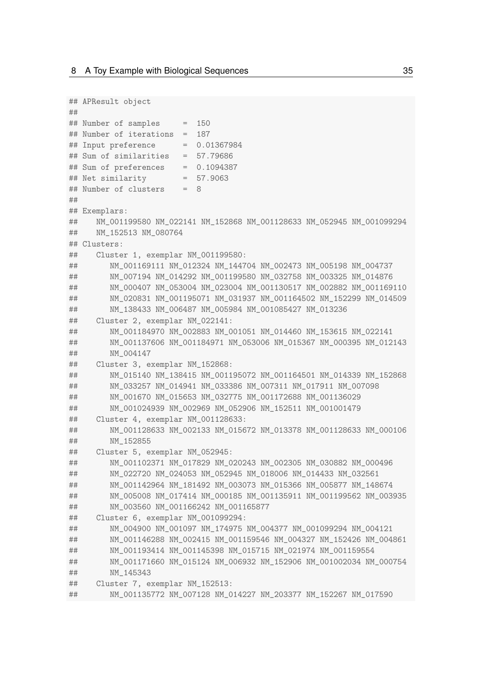```
## APResult object
##
## Number of samples = 150
## Number of iterations = 187
## Input preference = 0.01367984
## Sum of similarities = 57.79686
## Sum of preferences = 0.1094387
## Net similarity = 57.9063
## Number of clusters = 8
##
## Exemplars:
## NM_001199580 NM_022141 NM_152868 NM_001128633 NM_052945 NM_001099294
## NM 152513 NM 080764
## Clusters:
## Cluster 1, exemplar NM_001199580:
## NM_001169111 NM_012324 NM_144704 NM_002473 NM_005198 NM_004737
## NM_007194 NM_014292 NM_001199580 NM_032758 NM_003325 NM_014876
## NM_000407 NM_053004 NM_023004 NM_001130517 NM_002882 NM_001169110
## NM_020831 NM_001195071 NM_031937 NM_001164502 NM_152299 NM_014509
## NM_138433 NM_006487 NM_005984 NM_001085427 NM_013236
## Cluster 2, exemplar NM_022141:
## NM_001184970 NM_002883 NM_001051 NM_014460 NM_153615 NM_022141
## NM_001137606 NM_001184971 NM_053006 NM_015367 NM_000395 NM_012143
## NM_004147
## Cluster 3, exemplar NM_152868:
## NM_015140 NM_138415 NM_001195072 NM_001164501 NM_014339 NM_152868
## NM_033257 NM_014941 NM_033386 NM_007311 NM_017911 NM_007098
## NM_001670 NM_015653 NM_032775 NM_001172688 NM_001136029
## NM_001024939 NM_002969 NM_052906 NM_152511 NM_001001479
## Cluster 4, exemplar NM_001128633:
## NM_001128633 NM_002133 NM_015672 NM_013378 NM_001128633 NM_000106
## NM_152855
## Cluster 5, exemplar NM_052945:
## NM_001102371 NM_017829 NM_020243 NM_002305 NM_030882 NM_000496
## NM_022720 NM_024053 NM_052945 NM_018006 NM_014433 NM_032561
## NM_001142964 NM_181492 NM_003073 NM_015366 NM_005877 NM_148674
## NM_005008 NM_017414 NM_000185 NM_001135911 NM_001199562 NM_003935
## NM_003560 NM_001166242 NM_001165877
## Cluster 6, exemplar NM_001099294:
## NM_004900 NM_001097 NM_174975 NM_004377 NM_001099294 NM_004121
## NM_001146288 NM_002415 NM_001159546 NM_004327 NM_152426 NM_004861
## NM_001193414 NM_001145398 NM_015715 NM_021974 NM_001159554
## NM_001171660 NM_015124 NM_006932 NM_152906 NM_001002034 NM_000754
## NM_145343
## Cluster 7, exemplar NM_152513:
## NM_001135772 NM_007128 NM_014227 NM_203377 NM_152267 NM_017590
```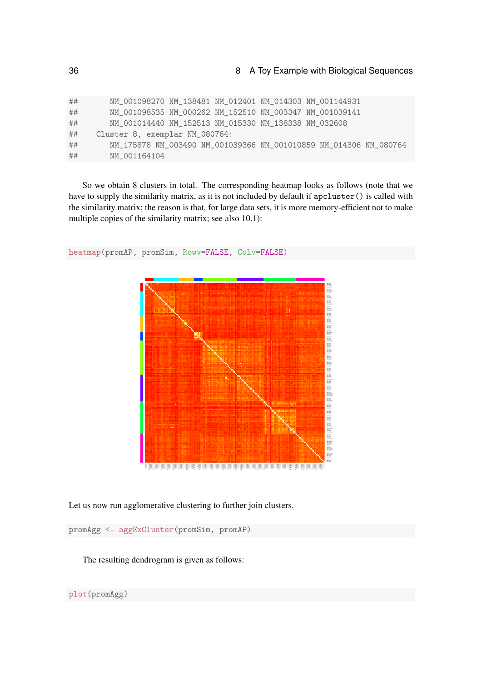| ## | NM_001098270 NM_138481 NM_012401 NM_014303 NM_001144931           |
|----|-------------------------------------------------------------------|
| ## | NM_001098535 NM_000262 NM_152510 NM_003347 NM_001039141           |
| ## | NM_001014440_NM_152513_NM_015330_NM_138338_NM_032608              |
| ## | Cluster 8, exemplar NM_080764:                                    |
| ## | NM_175878 NM_003490 NM_001039366 NM_001010859 NM_014306 NM_080764 |
| ## | NM 001164104                                                      |

So we obtain 8 clusters in total. The corresponding heatmap looks as follows (note that we have to supply the similarity matrix, as it is not included by default if apcluster() is called with the similarity matrix; the reason is that, for large data sets, it is more memory-efficient not to make multiple copies of the similarity matrix; see also [10.1\)](#page-50-1):



heatmap(promAP, promSim, Rowv=FALSE, Colv=FALSE)

Let us now run agglomerative clustering to further join clusters.

promAgg <- aggExCluster(promSim, promAP)

The resulting dendrogram is given as follows:

plot(promAgg)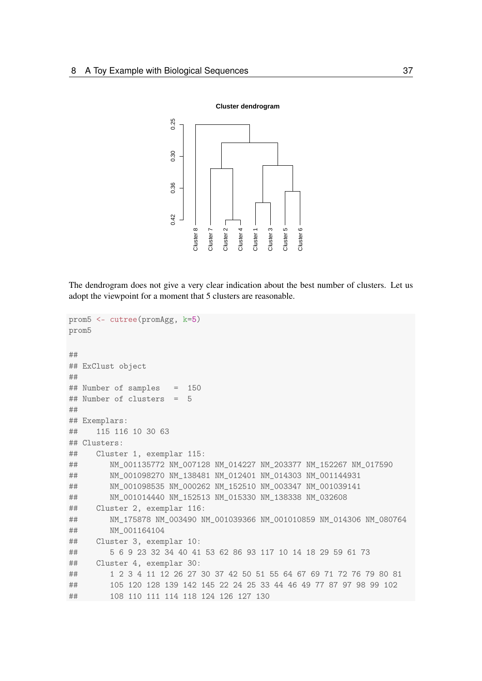

The dendrogram does not give a very clear indication about the best number of clusters. Let us adopt the viewpoint for a moment that 5 clusters are reasonable.

```
prom5 <- cutree(promAgg, k=5)
prom5
##
## ExClust object
##
## Number of samples = 150
## Number of clusters = 5
##
## Exemplars:
## 115 116 10 30 63
## Clusters:
## Cluster 1, exemplar 115:
## NM_001135772 NM_007128 NM_014227 NM_203377 NM_152267 NM_017590
## NM_001098270 NM_138481 NM_012401 NM_014303 NM_001144931
## NM_001098535 NM_000262 NM_152510 NM_003347 NM_001039141
## NM_001014440 NM_152513 NM_015330 NM_138338 NM_032608
## Cluster 2, exemplar 116:
## NM_175878 NM_003490 NM_001039366 NM_001010859 NM_014306 NM_080764
## NM_001164104
## Cluster 3, exemplar 10:
## 5 6 9 23 32 34 40 41 53 62 86 93 117 10 14 18 29 59 61 73
## Cluster 4, exemplar 30:
## 1 2 3 4 11 12 26 27 30 37 42 50 51 55 64 67 69 71 72 76 79 80 81
## 105 120 128 139 142 145 22 24 25 33 44 46 49 77 87 97 98 99 102
## 108 110 111 114 118 124 126 127 130
```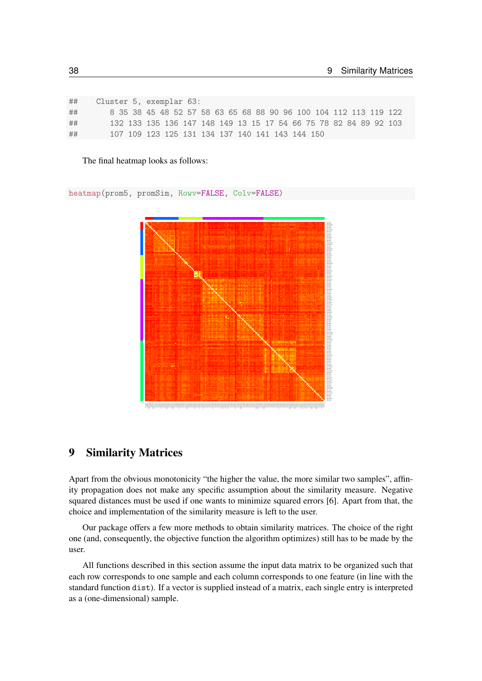| ## | Cluster 5, exemplar 63:                                          |  |  |  |  |  |  |  |  |  |
|----|------------------------------------------------------------------|--|--|--|--|--|--|--|--|--|
| ## | 8 35 38 45 48 52 57 58 63 65 68 88 90 96 100 104 112 113 119 122 |  |  |  |  |  |  |  |  |  |
| ## | 132 133 135 136 147 148 149 13 15 17 54 66 75 78 82 84 89 92 103 |  |  |  |  |  |  |  |  |  |
| ## | 107 109 123 125 131 134 137 140 141 143 144 150                  |  |  |  |  |  |  |  |  |  |

The final heatmap looks as follows:

heatmap(prom5, promSim, Rowv=FALSE, Colv=FALSE)



### <span id="page-37-0"></span>9 Similarity Matrices

Apart from the obvious monotonicity "the higher the value, the more similar two samples", affinity propagation does not make any specific assumption about the similarity measure. Negative squared distances must be used if one wants to minimize squared errors [\[6\]](#page-61-2). Apart from that, the choice and implementation of the similarity measure is left to the user.

Our package offers a few more methods to obtain similarity matrices. The choice of the right one (and, consequently, the objective function the algorithm optimizes) still has to be made by the user.

All functions described in this section assume the input data matrix to be organized such that each row corresponds to one sample and each column corresponds to one feature (in line with the standard function dist). If a vector is supplied instead of a matrix, each single entry is interpreted as a (one-dimensional) sample.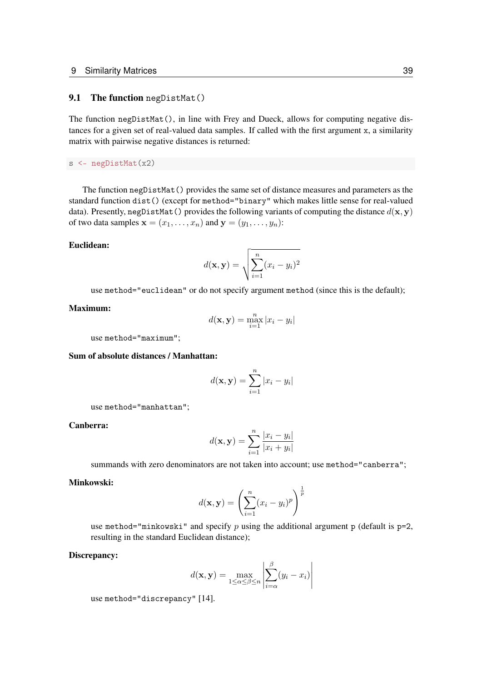### <span id="page-38-0"></span>9.1 The function negDistMat()

The function negDistMat(), in line with Frey and Dueck, allows for computing negative distances for a given set of real-valued data samples. If called with the first argument x, a similarity matrix with pairwise negative distances is returned:

s <- negDistMat(x2)

The function negDistMat() provides the same set of distance measures and parameters as the standard function dist() (except for method="binary" which makes little sense for real-valued data). Presently, negDistMat() provides the following variants of computing the distance  $d(\mathbf{x}, \mathbf{y})$ of two data samples  $\mathbf{x} = (x_1, \dots, x_n)$  and  $\mathbf{y} = (y_1, \dots, y_n)$ :

#### Euclidean:

$$
d(\mathbf{x}, \mathbf{y}) = \sqrt{\sum_{i=1}^{n} (x_i - y_i)^2}
$$

use method="euclidean" or do not specify argument method (since this is the default);

#### Maximum:

$$
d(\mathbf{x}, \mathbf{y}) = \max_{i=1}^{n} |x_i - y_i|
$$

use method="maximum";

#### Sum of absolute distances / Manhattan:

$$
d(\mathbf{x}, \mathbf{y}) = \sum_{i=1}^{n} |x_i - y_i|
$$

use method="manhattan";

Canberra:

$$
d(\mathbf{x}, \mathbf{y}) = \sum_{i=1}^{n} \frac{|x_i - y_i|}{|x_i + y_i|}
$$

summands with zero denominators are not taken into account; use method="canberra";

#### Minkowski:

$$
d(\mathbf{x}, \mathbf{y}) = \left(\sum_{i=1}^{n} (x_i - y_i)^p\right)^{\frac{1}{p}}
$$

use method="minkowski" and specify p using the additional argument p (default is  $p=2$ , resulting in the standard Euclidean distance);

#### Discrepancy:

$$
d(\mathbf{x}, \mathbf{y}) = \max_{1 \le \alpha \le \beta \le n} \left| \sum_{i=\alpha}^{\beta} (y_i - x_i) \right|
$$

use method="discrepancy" [\[14\]](#page-62-5).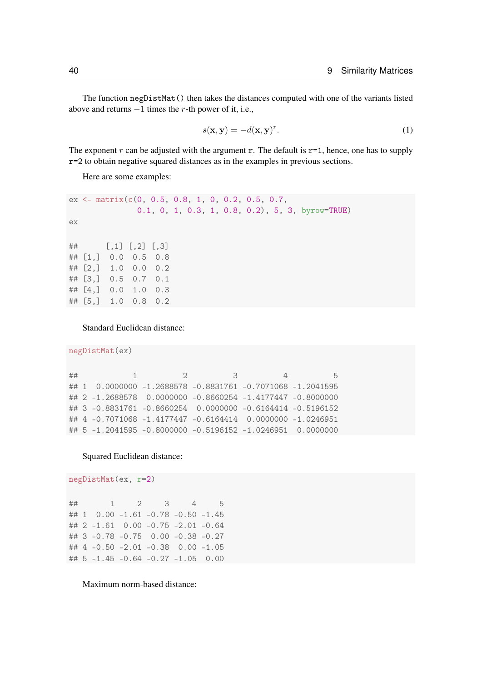The function negDistMat() then takes the distances computed with one of the variants listed above and returns  $-1$  times the r-th power of it, i.e.,

<span id="page-39-0"></span>
$$
s(\mathbf{x}, \mathbf{y}) = -d(\mathbf{x}, \mathbf{y})^r.
$$
 (1)

The exponent r can be adjusted with the argument r. The default is  $r=1$ , hence, one has to supply r=2 to obtain negative squared distances as in the examples in previous sections.

Here are some examples:

```
ex <- matrix(c(0, 0.5, 0.8, 1, 0, 0.2, 0.5, 0.7,
              0.1, 0, 1, 0.3, 1, 0.8, 0.2), 5, 3, byrow=TRUE)
ex
## [,1] [,2] [,3]
## [1,] 0.0 0.5 0.8
## [2,] 1.0 0.0 0.2
## [3,] 0.5 0.7 0.1
## [4,] 0.0 1.0 0.3
## [5,] 1.0 0.8 0.2
```
Standard Euclidean distance:

```
negDistMat(ex)
```

```
## 1 2 3 4 5
## 1 0.0000000 -1.2688578 -0.8831761 -0.7071068 -1.2041595
## 2 -1.2688578 0.0000000 -0.8660254 -1.4177447 -0.8000000
## 3 -0.8831761 -0.8660254 0.0000000 -0.6164414 -0.5196152
## 4 -0.7071068 -1.4177447 -0.6164414 0.0000000 -1.0246951
## 5 -1.2041595 -0.8000000 -0.5196152 -1.0246951 0.0000000
```
### Squared Euclidean distance:

negDistMat(ex, r=2)

## 1 2 3 4 5 ## 1 0.00 -1.61 -0.78 -0.50 -1.45 ## 2 -1.61 0.00 -0.75 -2.01 -0.64 ## 3 -0.78 -0.75 0.00 -0.38 -0.27 ## 4 -0.50 -2.01 -0.38 0.00 -1.05 ## 5 -1.45 -0.64 -0.27 -1.05 0.00

Maximum norm-based distance: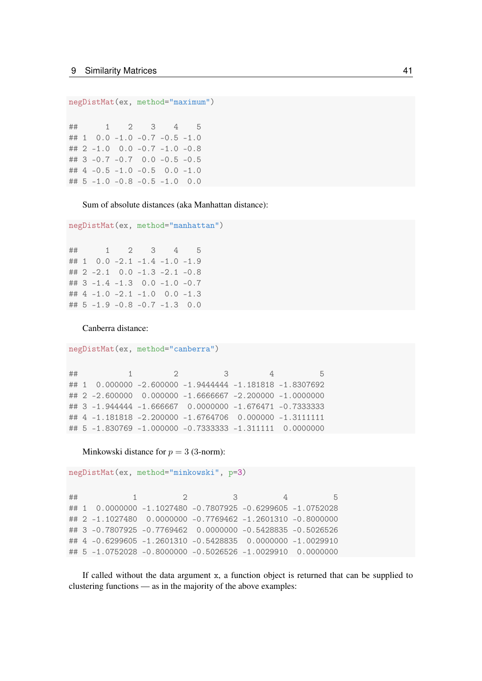```
negDistMat(ex, method="maximum")
```
## 1 2 3 4 5 ## 1 0.0 -1.0 -0.7 -0.5 -1.0 ## 2 -1.0 0.0 -0.7 -1.0 -0.8 ## 3 -0.7 -0.7 0.0 -0.5 -0.5 ## 4 -0.5 -1.0 -0.5 0.0 -1.0 ## 5 -1.0 -0.8 -0.5 -1.0 0.0

Sum of absolute distances (aka Manhattan distance):

```
negDistMat(ex, method="manhattan")
```

|  |  | ## 1 2 3 4 5                         |  |
|--|--|--------------------------------------|--|
|  |  | ## 1 $0.0 -2.1 -1.4 -1.0 -1.9$       |  |
|  |  | ## 2 $-2.1$ 0.0 $-1.3$ $-2.1$ $-0.8$ |  |
|  |  | ## $3 -1.4 -1.3$ 0.0 $-1.0$ -0.7     |  |
|  |  | ## $4 -1.0 -2.1 -1.0 0.0 -1.3$       |  |
|  |  | ## $5 -1.9 -0.8 -0.7 -1.3$ 0.0       |  |

Canberra distance:

```
negDistMat(ex, method="canberra")
```

```
## 1 2 3 4 5
## 1 0.000000 -2.600000 -1.9444444 -1.181818 -1.8307692
## 2 -2.600000 0.000000 -1.6666667 -2.200000 -1.0000000
## 3 -1.944444 -1.666667 0.0000000 -1.676471 -0.7333333
## 4 -1.181818 -2.200000 -1.6764706 0.000000 -1.3111111
## 5 -1.830769 -1.000000 -0.7333333 -1.311111 0.0000000
```
Minkowski distance for  $p = 3$  (3-norm):

```
negDistMat(ex, method="minkowski", p=3)
```
## 1 2 3 4 5 ## 1 0.0000000 -1.1027480 -0.7807925 -0.6299605 -1.0752028 ## 2 -1.1027480 0.0000000 -0.7769462 -1.2601310 -0.8000000 ## 3 -0.7807925 -0.7769462 0.0000000 -0.5428835 -0.5026526 ## 4 -0.6299605 -1.2601310 -0.5428835 0.0000000 -1.0029910 ## 5 -1.0752028 -0.8000000 -0.5026526 -1.0029910 0.0000000

If called without the data argument x, a function object is returned that can be supplied to clustering functions — as in the majority of the above examples: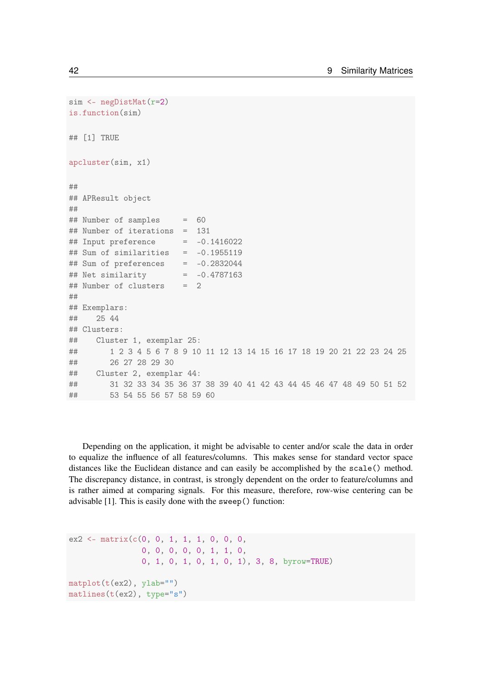```
sim <- negDistMat(r=2)
is.function(sim)
## [1] TRUE
apcluster(sim, x1)
##
## APResult object
##
## Number of samples = 60
## Number of iterations = 131
## Input preference = -0.1416022
\## Sum of similarities = -0.1955119\## Sum of preferences = -0.2832044
## Net similarity = -0.4787163
## Number of clusters = 2
##
## Exemplars:
## 25 44
## Clusters:
## Cluster 1, exemplar 25:
## 1 2 3 4 5 6 7 8 9 10 11 12 13 14 15 16 17 18 19 20 21 22 23 24 25
## 26 27 28 29 30
## Cluster 2, exemplar 44:
## 31 32 33 34 35 36 37 38 39 40 41 42 43 44 45 46 47 48 49 50 51 52
## 53 54 55 56 57 58 59 60
```
Depending on the application, it might be advisable to center and/or scale the data in order to equalize the influence of all features/columns. This makes sense for standard vector space distances like the Euclidean distance and can easily be accomplished by the scale() method. The discrepancy distance, in contrast, is strongly dependent on the order to feature/columns and is rather aimed at comparing signals. For this measure, therefore, row-wise centering can be advisable [\[1\]](#page-61-3). This is easily done with the sweep() function:

```
ex2 \leq -\text{matrix}(c(0, 0, 1, 1, 1, 0, 0, 0,0, 0, 0, 0, 0, 1, 1, 0,
                 0, 1, 0, 1, 0, 1, 0, 1), 3, 8, byrow=TRUE)
matplot(t(ex2), ylab="")matlines(t(ex2), type="s")
```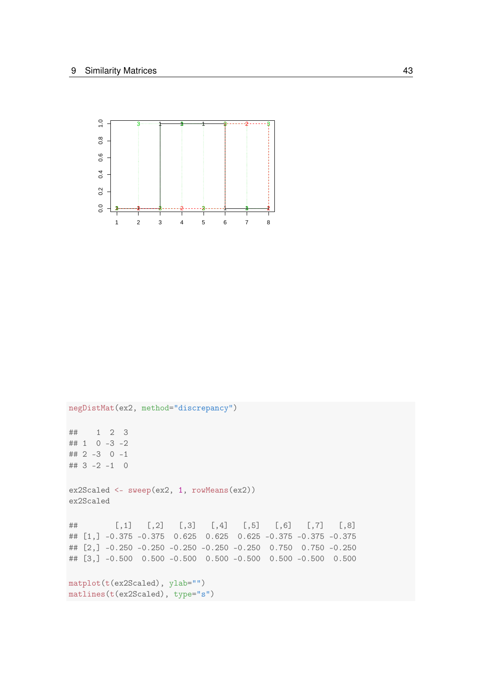

negDistMat(ex2, method="discrepancy") ## 1 2 3 ## 1 0 -3 -2 ## 2 -3 0 -1  $\#$   $\#$  3 -2 -1 0 ex2Scaled <- sweep(ex2, 1, rowMeans(ex2)) ex2Scaled ## [,1] [,2] [,3] [,4] [,5] [,6] [,7] [,8] ## [1,] -0.375 -0.375 0.625 0.625 0.625 -0.375 -0.375 -0.375 ## [2,] -0.250 -0.250 -0.250 -0.250 -0.250 0.750 0.750 -0.250 ## [3,] -0.500 0.500 -0.500 0.500 -0.500 0.500 -0.500 0.500 matplot(t(ex2Scaled), ylab="") matlines(t(ex2Scaled), type="s")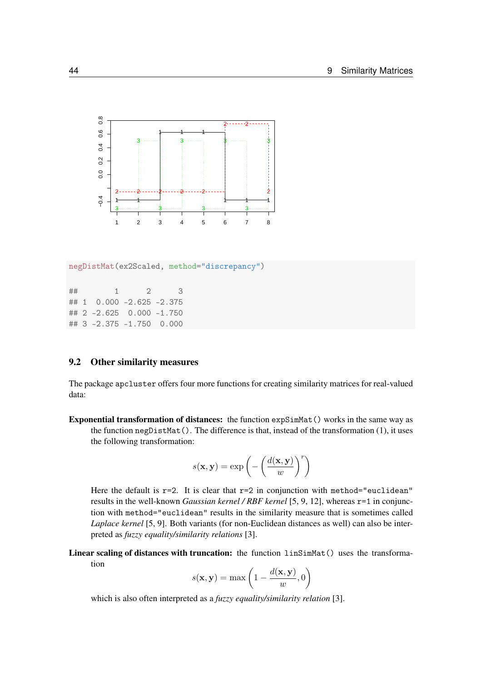

negDistMat(ex2Scaled, method="discrepancy")

| ## | 1                            | $\mathcal{D}$ | 3 |
|----|------------------------------|---------------|---|
|    | ## 1 $0.000 -2.625 -2.375$   |               |   |
|    | ## 2 $-2.625$ 0.000 $-1.750$ |               |   |
|    | ## 3 -2.375 -1.750 0.000     |               |   |

### <span id="page-43-0"></span>9.2 Other similarity measures

The package apcluster offers four more functions for creating similarity matrices for real-valued data:

Exponential transformation of distances: the function expSimMat() works in the same way as the function negDistMat(). The difference is that, instead of the transformation [\(1\)](#page-39-0), it uses the following transformation:

$$
s(\mathbf{x}, \mathbf{y}) = \exp\left(-\left(\frac{d(\mathbf{x}, \mathbf{y})}{w}\right)^r\right)
$$

Here the default is  $r=2$ . It is clear that  $r=2$  in conjunction with method="euclidean" results in the well-known *Gaussian kernel / RBF kernel* [\[5,](#page-61-4) [9,](#page-62-6) [12\]](#page-62-7), whereas r=1 in conjunction with method="euclidean" results in the similarity measure that is sometimes called *Laplace kernel* [\[5,](#page-61-4) [9\]](#page-62-6). Both variants (for non-Euclidean distances as well) can also be interpreted as *fuzzy equality/similarity relations* [\[3\]](#page-61-5).

Linear scaling of distances with truncation: the function linSimMat() uses the transformation

$$
s(\mathbf{x}, \mathbf{y}) = \max\left(1 - \frac{d(\mathbf{x}, \mathbf{y})}{w}, 0\right)
$$

which is also often interpreted as a *fuzzy equality/similarity relation* [\[3\]](#page-61-5).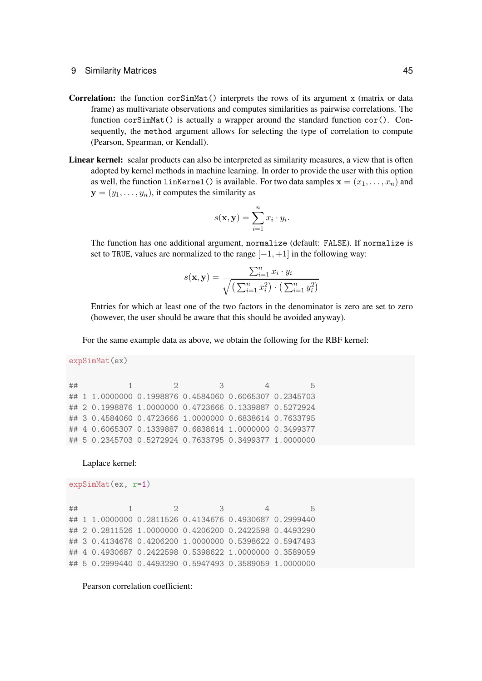- **Correlation:** the function cor $SimMat()$  interprets the rows of its argument x (matrix or data frame) as multivariate observations and computes similarities as pairwise correlations. The function corSimMat() is actually a wrapper around the standard function cor(). Consequently, the method argument allows for selecting the type of correlation to compute (Pearson, Spearman, or Kendall).
- Linear kernel: scalar products can also be interpreted as similarity measures, a view that is often adopted by kernel methods in machine learning. In order to provide the user with this option as well, the function linKernel() is available. For two data samples  $\mathbf{x} = (x_1, \dots, x_n)$  and  $y = (y_1, \ldots, y_n)$ , it computes the similarity as

$$
s(\mathbf{x}, \mathbf{y}) = \sum_{i=1}^{n} x_i \cdot y_i.
$$

The function has one additional argument, normalize (default: FALSE). If normalize is set to TRUE, values are normalized to the range  $[-1, +1]$  in the following way:

$$
s(\mathbf{x}, \mathbf{y}) = \frac{\sum_{i=1}^{n} x_i \cdot y_i}{\sqrt{\left(\sum_{i=1}^{n} x_i^2\right) \cdot \left(\sum_{i=1}^{n} y_i^2\right)}}
$$

Entries for which at least one of the two factors in the denominator is zero are set to zero (however, the user should be aware that this should be avoided anyway).

For the same example data as above, we obtain the following for the RBF kernel:

```
expSimMat(ex)
```

```
## 1 2 3 4 5
## 1 1.0000000 0.1998876 0.4584060 0.6065307 0.2345703
## 2 0.1998876 1.0000000 0.4723666 0.1339887 0.5272924
## 3 0.4584060 0.4723666 1.0000000 0.6838614 0.7633795
## 4 0.6065307 0.1339887 0.6838614 1.0000000 0.3499377
## 5 0.2345703 0.5272924 0.7633795 0.3499377 1.0000000
```
Laplace kernel:

```
expSimMat(ex, r=1)
```

```
## 1 2 3 4 5
## 1 1.0000000 0.2811526 0.4134676 0.4930687 0.2999440
## 2 0.2811526 1.0000000 0.4206200 0.2422598 0.4493290
## 3 0.4134676 0.4206200 1.0000000 0.5398622 0.5947493
## 4 0.4930687 0.2422598 0.5398622 1.0000000 0.3589059
## 5 0.2999440 0.4493290 0.5947493 0.3589059 1.0000000
```
Pearson correlation coefficient: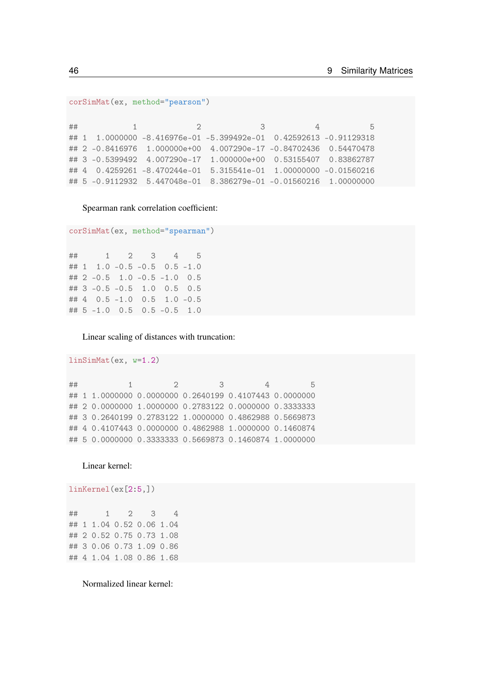```
corSimMat(ex, method="pearson")
```
## 1 2 3 4 5 ## 1 1.0000000 -8.416976e-01 -5.399492e-01 0.42592613 -0.91129318 ## 2 -0.8416976 1.000000e+00 4.007290e-17 -0.84702436 0.54470478 ## 3 -0.5399492 4.007290e-17 1.000000e+00 0.53155407 0.83862787 ## 4 0.4259261 -8.470244e-01 5.315541e-01 1.00000000 -0.01560216 ## 5 -0.9112932 5.447048e-01 8.386279e-01 -0.01560216 1.00000000

Spearman rank correlation coefficient:

```
corSimMat(ex, method="spearman")
```
## 1 2 3 4 5 ## 1 1.0 -0.5 -0.5 0.5 -1.0 ## 2 -0.5 1.0 -0.5 -1.0 0.5 ## 3 -0.5 -0.5 1.0 0.5 0.5 ## 4 0.5 -1.0 0.5 1.0 -0.5 ## 5 -1.0 0.5 0.5 -0.5 1.0

Linear scaling of distances with truncation:

```
linSimMat(ex, w=1.2)
## 1 2 3 4 5
## 1 1.0000000 0.0000000 0.2640199 0.4107443 0.0000000
## 2 0.0000000 1.0000000 0.2783122 0.0000000 0.3333333
## 3 0.2640199 0.2783122 1.0000000 0.4862988 0.5669873
## 4 0.4107443 0.0000000 0.4862988 1.0000000 0.1460874
## 5 0.0000000 0.3333333 0.5669873 0.1460874 1.0000000
```
Linear kernel:

linKernel(ex[2:5,])

| ## |                          | $1 \quad \blacksquare$ | 2 3 | 4 |
|----|--------------------------|------------------------|-----|---|
|    | ## 1 1.04 0.52 0.06 1.04 |                        |     |   |
|    | ## 2 0.52 0.75 0.73 1.08 |                        |     |   |
|    | ## 3 0.06 0.73 1.09 0.86 |                        |     |   |
|    | ## 4 1.04 1.08 0.86 1.68 |                        |     |   |

Normalized linear kernel: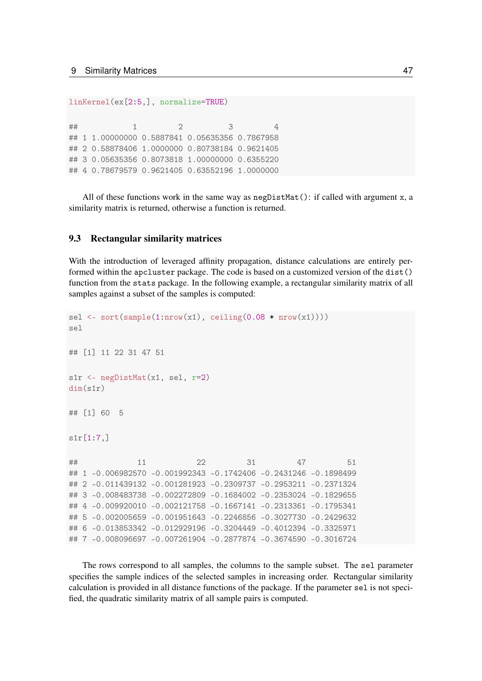linKernel(ex[2:5,], normalize=TRUE)

## 1 2 3 4 ## 1 1.00000000 0.5887841 0.05635356 0.7867958 ## 2 0.58878406 1.0000000 0.80738184 0.9621405 ## 3 0.05635356 0.8073818 1.00000000 0.6355220 ## 4 0.78679579 0.9621405 0.63552196 1.0000000

All of these functions work in the same way as neglist  $Mat()$ : if called with argument x, a similarity matrix is returned, otherwise a function is returned.

### <span id="page-46-0"></span>9.3 Rectangular similarity matrices

With the introduction of leveraged affinity propagation, distance calculations are entirely performed within the apcluster package. The code is based on a customized version of the dist() function from the stats package. In the following example, a rectangular similarity matrix of all samples against a subset of the samples is computed:

```
sel \leq sort(sample(1:nrow(x1), ceiling(0.08 \star nrow(x1))))
sel
## [1] 11 22 31 47 51
s1r <- negDistMat(x1, sel, r=2)
dim(s1r)
## [1] 60 5
s1r[1:7,]
## 11 22 31 47 51
## 1 -0.006982570 -0.001992343 -0.1742406 -0.2431246 -0.1898499
## 2 -0.011439132 -0.001281923 -0.2309737 -0.2953211 -0.2371324
## 3 -0.008483738 -0.002272809 -0.1684002 -0.2353024 -0.1829655
## 4 -0.009920010 -0.002121758 -0.1667141 -0.2313361 -0.1795341
## 5 -0.002005659 -0.001951643 -0.2246856 -0.3027730 -0.2429632
## 6 -0.013853342 -0.012929196 -0.3204449 -0.4012394 -0.3325971
## 7 -0.008096697 -0.007261904 -0.2877874 -0.3674590 -0.3016724
```
The rows correspond to all samples, the columns to the sample subset. The sel parameter specifies the sample indices of the selected samples in increasing order. Rectangular similarity calculation is provided in all distance functions of the package. If the parameter sel is not specified, the quadratic similarity matrix of all sample pairs is computed.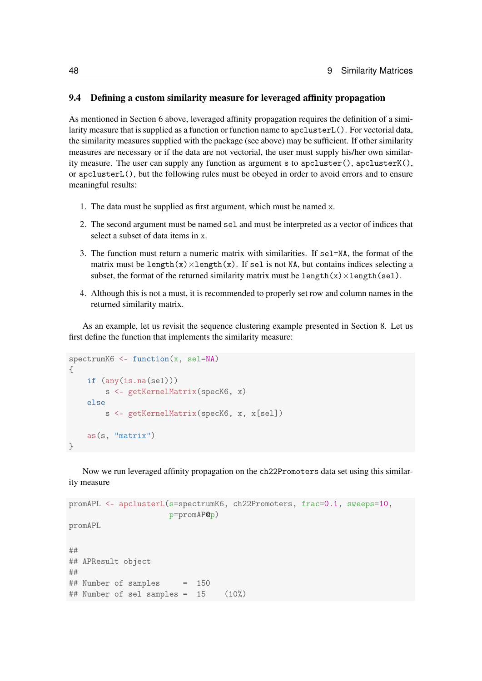### <span id="page-47-0"></span>9.4 Defining a custom similarity measure for leveraged affinity propagation

As mentioned in Section [6](#page-26-0) above, leveraged affinity propagation requires the definition of a similarity measure that is supplied as a function or function name to apclusterL(). For vectorial data, the similarity measures supplied with the package (see above) may be sufficient. If other similarity measures are necessary or if the data are not vectorial, the user must supply his/her own similarity measure. The user can supply any function as argument s to apcluster(), apcluster $K()$ , or apclusterL(), but the following rules must be obeyed in order to avoid errors and to ensure meaningful results:

- 1. The data must be supplied as first argument, which must be named x.
- 2. The second argument must be named sel and must be interpreted as a vector of indices that select a subset of data items in x.
- 3. The function must return a numeric matrix with similarities. If sel=NA, the format of the matrix must be length(x) $\times$ length(x). If sel is not NA, but contains indices selecting a subset, the format of the returned similarity matrix must be length(x) $\times$ length(sel).
- 4. Although this is not a must, it is recommended to properly set row and column names in the returned similarity matrix.

As an example, let us revisit the sequence clustering example presented in Section [8.](#page-32-0) Let us first define the function that implements the similarity measure:

```
spectrumK6 <- function(x, sel=NA)
{
    if (any(is.na(sel)))
        s <- getKernelMatrix(specK6, x)
    else
        s <- getKernelMatrix(specK6, x, x[sel])
    as(s, "matrix")
}
```
Now we run leveraged affinity propagation on the ch22Promoters data set using this similarity measure

```
promAPL <- apclusterL(s=spectrumK6, ch22Promoters, frac=0.1, sweeps=10,
                     p=promAP@p)
promAPL
##
## APResult object
##
## Number of samples = 150
## Number of sel samples = 15 (10\%)
```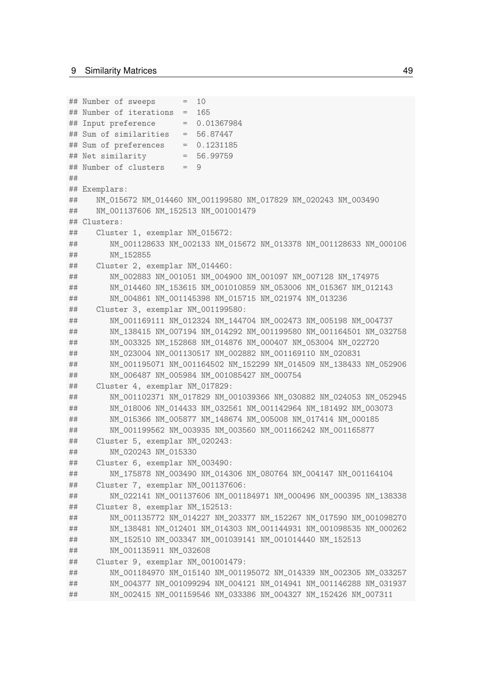```
## Number of sweeps = 10
## Number of iterations = 165
## Input preference = 0.01367984
## Sum of similarities = 56.87447
## Sum of preferences = 0.1231185
## Net similarity = 56.99759
## Number of clusters = 9
##
## Exemplars:
## NM_015672 NM_014460 NM_001199580 NM_017829 NM_020243 NM_003490
## NM_001137606 NM_152513 NM_001001479
## Clusters:
## Cluster 1, exemplar NM_015672:
## NM_001128633 NM_002133 NM_015672 NM_013378 NM_001128633 NM_000106
## NM_152855
## Cluster 2, exemplar NM_014460:
## NM_002883 NM_001051 NM_004900 NM_001097 NM_007128 NM_174975
## NM_014460 NM_153615 NM_001010859 NM_053006 NM_015367 NM_012143
## NM_004861 NM_001145398 NM_015715 NM_021974 NM_013236
## Cluster 3, exemplar NM_001199580:
## NM_001169111 NM_012324 NM_144704 NM_002473 NM_005198 NM_004737
## NM_138415 NM_007194 NM_014292 NM_001199580 NM_001164501 NM_032758
## NM_003325 NM_152868 NM_014876 NM_000407 NM_053004 NM_022720
## NM_023004 NM_001130517 NM_002882 NM_001169110 NM_020831
## NM_001195071 NM_001164502 NM_152299 NM_014509 NM_138433 NM_052906
## NM_006487 NM_005984 NM_001085427 NM_000754
## Cluster 4, exemplar NM 017829:
## NM_001102371 NM_017829 NM_001039366 NM_030882 NM_024053 NM_052945
## NM_018006 NM_014433 NM_032561 NM_001142964 NM_181492 NM_003073
## NM_015366 NM_005877 NM_148674 NM_005008 NM_017414 NM_000185
## NM_001199562 NM_003935 NM_003560 NM_001166242 NM_001165877
## Cluster 5, exemplar NM_020243:
## NM_020243 NM_015330
## Cluster 6, exemplar NM_003490:
## NM_175878 NM_003490 NM_014306 NM_080764 NM_004147 NM_001164104
## Cluster 7, exemplar NM_001137606:
## NM_022141 NM_001137606 NM_001184971 NM_000496 NM_000395 NM_138338
## Cluster 8, exemplar NM_152513:
## NM_001135772 NM_014227 NM_203377 NM_152267 NM_017590 NM_001098270
## NM_138481 NM_012401 NM_014303 NM_001144931 NM_001098535 NM_000262
## NM_152510 NM_003347 NM_001039141 NM_001014440 NM_152513
## NM_001135911 NM_032608
## Cluster 9, exemplar NM_001001479:
## NM_001184970 NM_015140 NM_001195072 NM_014339 NM_002305 NM_033257
## NM_004377 NM_001099294 NM_004121 NM_014941 NM_001146288 NM_031937
## NM_002415 NM_001159546 NM_033386 NM_004327 NM_152426 NM_007311
```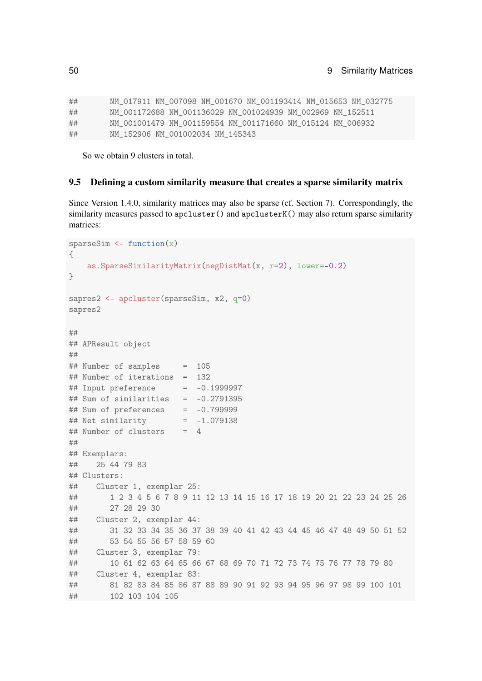## NM\_017911 NM\_007098 NM\_001670 NM\_001193414 NM\_015653 NM\_032775 ## NM\_001172688 NM\_001136029 NM\_001024939 NM\_002969 NM\_152511 ## NM\_001001479 NM\_001159554 NM\_001171660 NM\_015124 NM\_006932 ## NM\_152906 NM\_001002034 NM\_145343

So we obtain 9 clusters in total.

### <span id="page-49-0"></span>9.5 Defining a custom similarity measure that creates a sparse similarity matrix

Since Version 1.4.0, similarity matrices may also be sparse (cf. Section [7\)](#page-29-0). Correspondingly, the similarity measures passed to apcluster() and apcluster K() may also return sparse similarity matrices:

```
sparseSim \leq function(x){
   as.SparseSimilarityMatrix(negDistMat(x, r=2), lower=-0.2)
}
sapres2 <- apcluster(sparseSim, x2, q=0)
sapres2
##
## APResult object
##
## Number of samples = 105
## Number of iterations = 132
\## Input preference = -0.1999997\## Sum of similarities = -0.2791395
\## Sum of preferences = -0.799999
## Net similarity = -1.079138
\# Number of clusters = 4
##
## Exemplars:
## 25 44 79 83
## Clusters:
## Cluster 1, exemplar 25:
## 1 2 3 4 5 6 7 8 9 11 12 13 14 15 16 17 18 19 20 21 22 23 24 25 26
## 27 28 29 30
## Cluster 2, exemplar 44:
## 31 32 33 34 35 36 37 38 39 40 41 42 43 44 45 46 47 48 49 50 51 52
## 53 54 55 56 57 58 59 60
## Cluster 3, exemplar 79:
## 10 61 62 63 64 65 66 67 68 69 70 71 72 73 74 75 76 77 78 79 80
## Cluster 4, exemplar 83:
## 81 82 83 84 85 86 87 88 89 90 91 92 93 94 95 96 97 98 99 100 101
## 102 103 104 105
```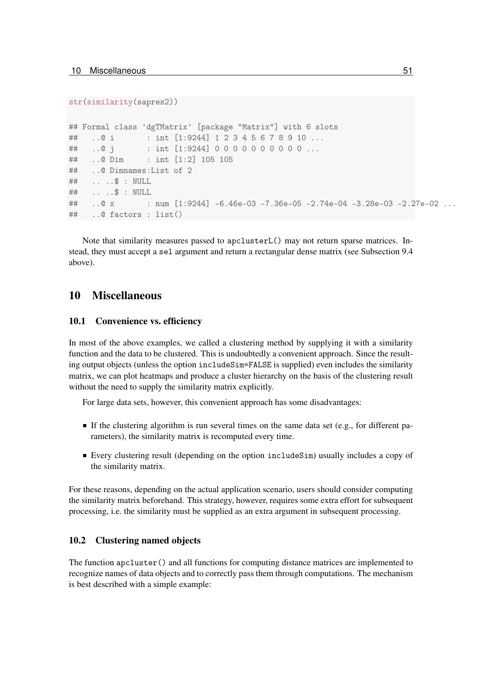```
str(similarity(sapres2))
```

```
## Formal class 'dgTMatrix' [package "Matrix"] with 6 slots
## ..@ i : int [1:9244] 1 2 3 4 5 6 7 8 9 10 ...
## ..@ j : int [1:9244] 0 0 0 0 0 0 0 0 0 0 ...
## ..@ Dim : int [1:2] 105 105
## ..@ Dimnames:List of 2
## .. ..$ : NULL
## .. ..$ : NULL
## ..@ x : num [1:9244] -6.46e-03 -7.36e-05 -2.74e-04 -3.28e-03 -2.27e-02 ...
## ..@ factors : list()
```
Note that similarity measures passed to apclusterL() may not return sparse matrices. Instead, they must accept a sel argument and return a rectangular dense matrix (see Subsection [9.4](#page-47-0) above).

### <span id="page-50-0"></span>10 Miscellaneous

### <span id="page-50-1"></span>10.1 Convenience vs. efficiency

In most of the above examples, we called a clustering method by supplying it with a similarity function and the data to be clustered. This is undoubtedly a convenient approach. Since the resulting output objects (unless the option includeSim=FALSE is supplied) even includes the similarity matrix, we can plot heatmaps and produce a cluster hierarchy on the basis of the clustering result without the need to supply the similarity matrix explicitly.

For large data sets, however, this convenient approach has some disadvantages:

- If the clustering algorithm is run several times on the same data set (e.g., for different parameters), the similarity matrix is recomputed every time.
- Every clustering result (depending on the option includeSim) usually includes a copy of the similarity matrix.

For these reasons, depending on the actual application scenario, users should consider computing the similarity matrix beforehand. This strategy, however, requires some extra effort for subsequent processing, i.e. the similarity must be supplied as an extra argument in subsequent processing.

### <span id="page-50-2"></span>10.2 Clustering named objects

The function apcluster() and all functions for computing distance matrices are implemented to recognize names of data objects and to correctly pass them through computations. The mechanism is best described with a simple example: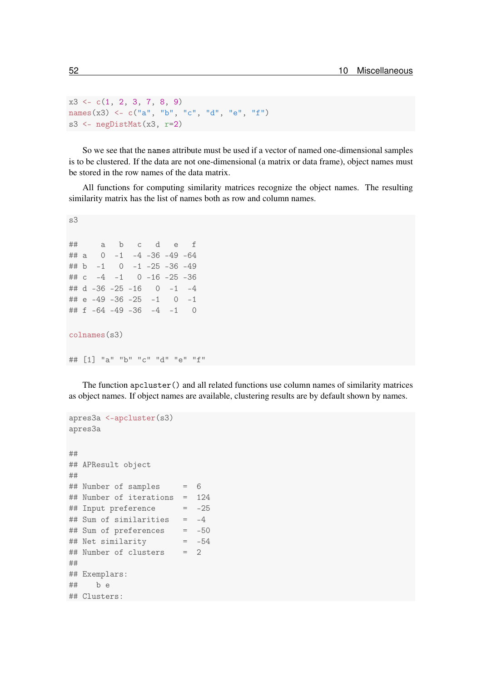```
x3 \leftarrow c(1, 2, 3, 7, 8, 9)names(x3) <- c("a", "b", "c", "d", "e", "f")
s3 <- negDistMat(x3, r=2)
```
So we see that the names attribute must be used if a vector of named one-dimensional samples is to be clustered. If the data are not one-dimensional (a matrix or data frame), object names must be stored in the row names of the data matrix.

All functions for computing similarity matrices recognize the object names. The resulting similarity matrix has the list of names both as row and column names.

```
s3
## a b c d e f
## a 0 -1 -4 -36 -49 -64
## b -1 0 -1 -25 -36 -49
## c -4 -1 0 -16 -25 -36
## d -36 -25 -16 0 -1 -4
## e -49 -36 -25 -1 0 -1
## f -64 -49 -36 -4 -1 0
colnames(s3)
## [1] "a" "b" "c" "d" "e" "f"
```
The function apcluster() and all related functions use column names of similarity matrices as object names. If object names are available, clustering results are by default shown by names.

```
apres3a <-apcluster(s3)
apres3a
##
## APResult object
##
## Number of samples = 6
## Number of iterations = 124
## Input preference = -25
## Sum of similarities = -4
## Sum of preferences = -50
## Net similarity = -54
## Number of clusters = 2
##
## Exemplars:
## b e
## Clusters:
```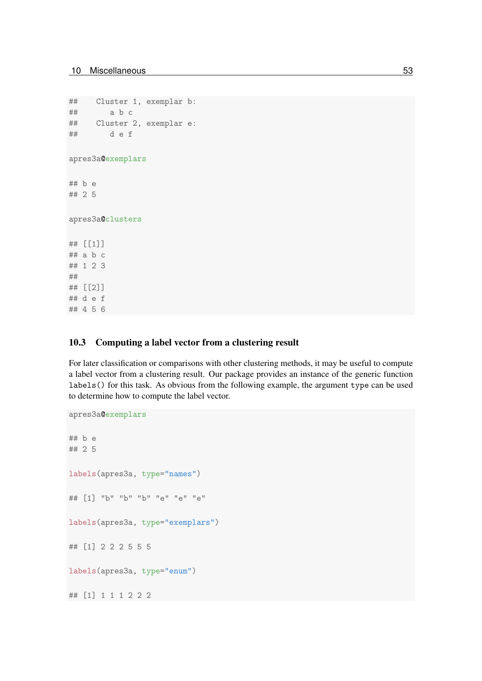## 4 5 6

```
## Cluster 1, exemplar b:
## a b c
## Cluster 2, exemplar e:
## d e f
apres3a@exemplars
## b e
## 2 5
apres3a@clusters
## [[1]]
## a b c
## 1 2 3
##
## [[2]]
## d e f
```
### <span id="page-52-0"></span>10.3 Computing a label vector from a clustering result

For later classification or comparisons with other clustering methods, it may be useful to compute a label vector from a clustering result. Our package provides an instance of the generic function labels() for this task. As obvious from the following example, the argument type can be used to determine how to compute the label vector.

```
apres3a@exemplars
## b e
## 2 5
labels(apres3a, type="names")
## [1] "b" "b" "b" "e" "e" "e"
labels(apres3a, type="exemplars")
## [1] 2 2 2 5 5 5
labels(apres3a, type="enum")
## [1] 1 1 1 2 2 2
```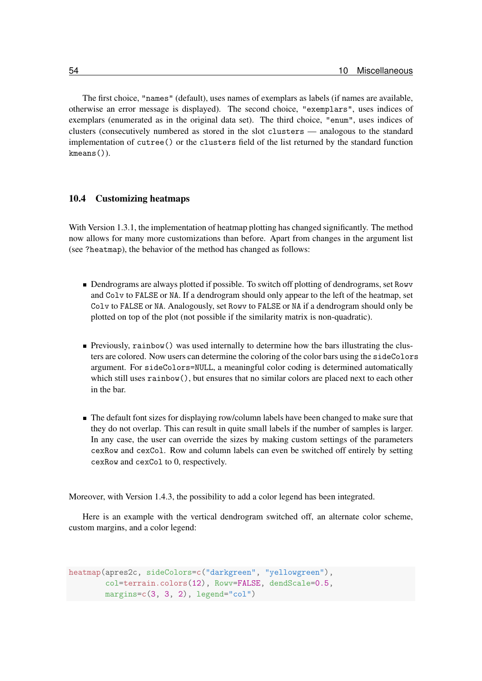The first choice, "names" (default), uses names of exemplars as labels (if names are available, otherwise an error message is displayed). The second choice, "exemplars", uses indices of exemplars (enumerated as in the original data set). The third choice, "enum", uses indices of clusters (consecutively numbered as stored in the slot clusters — analogous to the standard implementation of cutree() or the clusters field of the list returned by the standard function kmeans()).

### <span id="page-53-0"></span>10.4 Customizing heatmaps

With Version 1.3.1, the implementation of heatmap plotting has changed significantly. The method now allows for many more customizations than before. Apart from changes in the argument list (see ?heatmap), the behavior of the method has changed as follows:

- Dendrograms are always plotted if possible. To switch off plotting of dendrograms, set Rowv and Colv to FALSE or NA. If a dendrogram should only appear to the left of the heatmap, set Colv to FALSE or NA. Analogously, set Rowv to FALSE or NA if a dendrogram should only be plotted on top of the plot (not possible if the similarity matrix is non-quadratic).
- Previously, rainbow() was used internally to determine how the bars illustrating the clusters are colored. Now users can determine the coloring of the color bars using the sideColors argument. For sideColors=NULL, a meaningful color coding is determined automatically which still uses rainbow(), but ensures that no similar colors are placed next to each other in the bar.
- The default font sizes for displaying row/column labels have been changed to make sure that they do not overlap. This can result in quite small labels if the number of samples is larger. In any case, the user can override the sizes by making custom settings of the parameters cexRow and cexCol. Row and column labels can even be switched off entirely by setting cexRow and cexCol to 0, respectively.

Moreover, with Version 1.4.3, the possibility to add a color legend has been integrated.

Here is an example with the vertical dendrogram switched off, an alternate color scheme, custom margins, and a color legend:

```
heatmap(apres2c, sideColors=c("darkgreen", "yellowgreen"),
        col=terrain.colors(12), Rowv=FALSE, dendScale=0.5,
        margins=c(3, 3, 2), legend='col")
```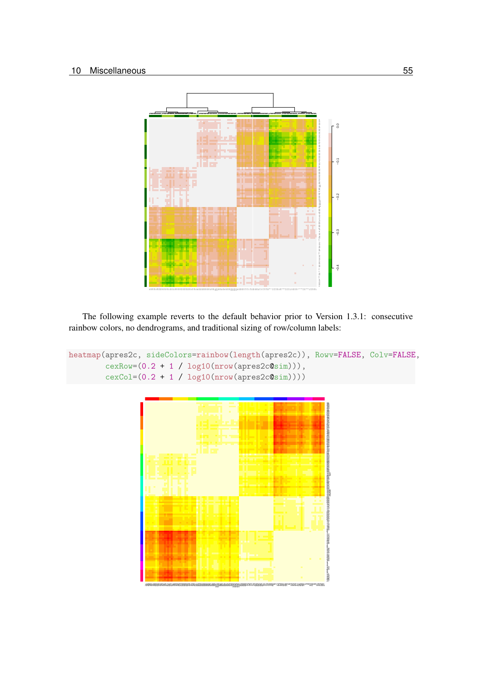

The following example reverts to the default behavior prior to Version 1.3.1: consecutive rainbow colors, no dendrograms, and traditional sizing of row/column labels:

```
heatmap(apres2c, sideColors=rainbow(length(apres2c)), Rowv=FALSE, Colv=FALSE,
        cexRow=(0.2 + 1 / log10(nrow(apres2c@sim))),
        cexCol=(0.2 + 1 / log10(nrow(apres2c@sim))))
```
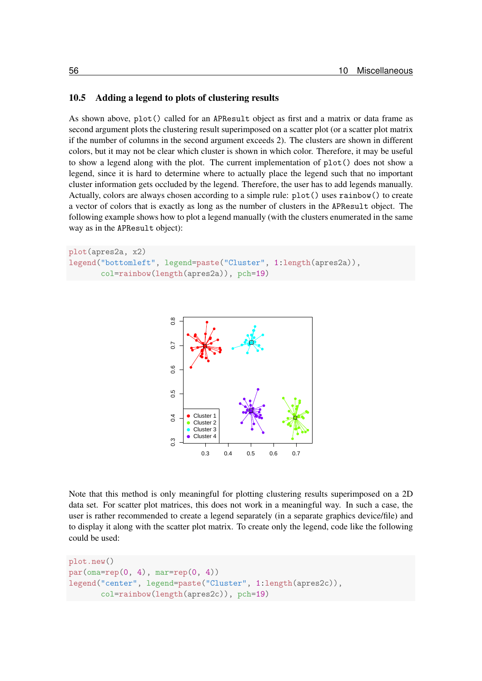### <span id="page-55-0"></span>10.5 Adding a legend to plots of clustering results

As shown above, plot() called for an APResult object as first and a matrix or data frame as second argument plots the clustering result superimposed on a scatter plot (or a scatter plot matrix if the number of columns in the second argument exceeds 2). The clusters are shown in different colors, but it may not be clear which cluster is shown in which color. Therefore, it may be useful to show a legend along with the plot. The current implementation of plot() does not show a legend, since it is hard to determine where to actually place the legend such that no important cluster information gets occluded by the legend. Therefore, the user has to add legends manually. Actually, colors are always chosen according to a simple rule: plot() uses rainbow() to create a vector of colors that is exactly as long as the number of clusters in the APResult object. The following example shows how to plot a legend manually (with the clusters enumerated in the same way as in the APResult object):

```
plot(apres2a, x2)
legend("bottomleft", legend=paste("Cluster", 1:length(apres2a)),
       col=rainbow(length(apres2a)), pch=19)
```


Note that this method is only meaningful for plotting clustering results superimposed on a 2D data set. For scatter plot matrices, this does not work in a meaningful way. In such a case, the user is rather recommended to create a legend separately (in a separate graphics device/file) and to display it along with the scatter plot matrix. To create only the legend, code like the following could be used:

```
plot.new()
par(\text{oma=rep}(0, 4), mar=rep(0, 4))legend("center", legend=paste("Cluster", 1:length(apres2c)),
       col=rainbow(length(apres2c)), pch=19)
```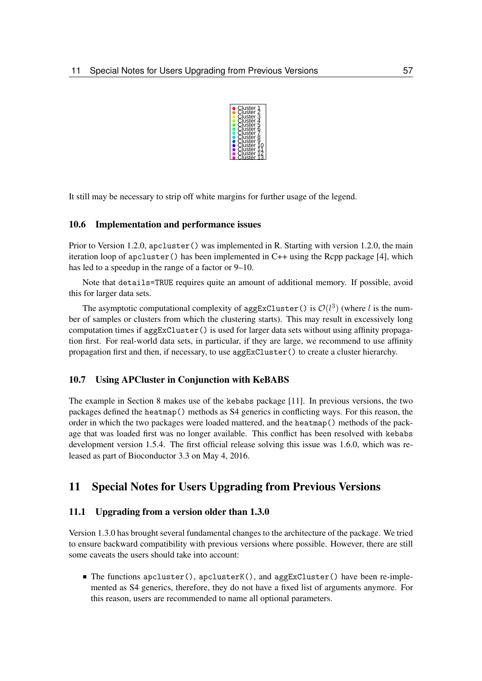

It still may be necessary to strip off white margins for further usage of the legend.

### <span id="page-56-0"></span>10.6 Implementation and performance issues

Prior to Version 1.2.0, apcluster() was implemented in R. Starting with version 1.2.0, the main iteration loop of apcluster() has been implemented in C++ using the Rcpp package [\[4\]](#page-61-6), which has led to a speedup in the range of a factor or 9–10.

Note that details=TRUE requires quite an amount of additional memory. If possible, avoid this for larger data sets.

The asymptotic computational complexity of aggExCluster () is  $\mathcal{O}(l^3)$  (where l is the number of samples or clusters from which the clustering starts). This may result in excessively long computation times if aggExCluster() is used for larger data sets without using affinity propagation first. For real-world data sets, in particular, if they are large, we recommend to use affinity propagation first and then, if necessary, to use aggExCluster() to create a cluster hierarchy.

### <span id="page-56-1"></span>10.7 Using APCluster in Conjunction with KeBABS

The example in Section [8](#page-32-0) makes use of the kebabs package [\[11\]](#page-62-4). In previous versions, the two packages defined the heatmap() methods as S4 generics in conflicting ways. For this reason, the order in which the two packages were loaded mattered, and the heatmap() methods of the package that was loaded first was no longer available. This conflict has been resolved with kebabs development version 1.5.4. The first official release solving this issue was 1.6.0, which was released as part of Bioconductor 3.3 on May 4, 2016.

### <span id="page-56-2"></span>11 Special Notes for Users Upgrading from Previous Versions

### <span id="page-56-3"></span>11.1 Upgrading from a version older than 1.3.0

Version 1.3.0 has brought several fundamental changes to the architecture of the package. We tried to ensure backward compatibility with previous versions where possible. However, there are still some caveats the users should take into account:

 $\blacksquare$  The functions apcluster(), apclusterK(), and aggExCluster() have been re-implemented as S4 generics, therefore, they do not have a fixed list of arguments anymore. For this reason, users are recommended to name all optional parameters.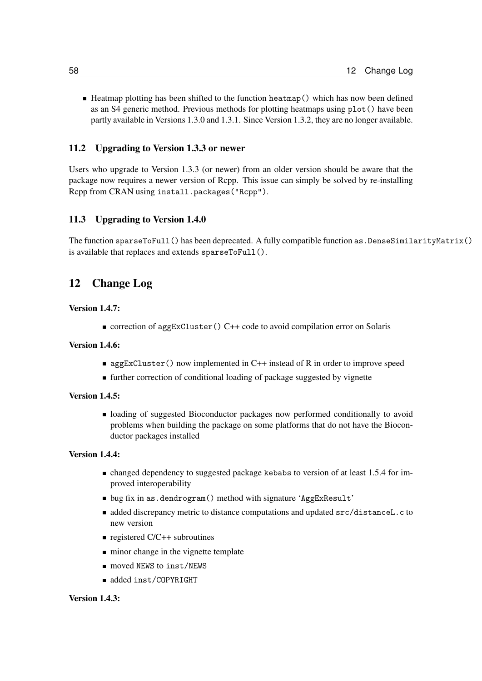■ Heatmap plotting has been shifted to the function heatmap() which has now been defined as an S4 generic method. Previous methods for plotting heatmaps using plot() have been partly available in Versions 1.3.0 and 1.3.1. Since Version 1.3.2, they are no longer available.

### <span id="page-57-0"></span>11.2 Upgrading to Version 1.3.3 or newer

Users who upgrade to Version 1.3.3 (or newer) from an older version should be aware that the package now requires a newer version of Rcpp. This issue can simply be solved by re-installing Rcpp from CRAN using install.packages("Rcpp").

### <span id="page-57-1"></span>11.3 Upgrading to Version 1.4.0

The function sparseToFull() has been deprecated. A fully compatible function as.DenseSimilarityMatrix() is available that replaces and extends sparseToFull().

### <span id="page-57-2"></span>12 Change Log

### Version 1.4.7:

■ correction of aggExCluster() C++ code to avoid compilation error on Solaris

#### Version 1.4.6:

- $\blacksquare$  aggExCluster() now implemented in C++ instead of R in order to improve speed
- further correction of conditional loading of package suggested by vignette

### Version 1.4.5:

loading of suggested Bioconductor packages now performed conditionally to avoid problems when building the package on some platforms that do not have the Bioconductor packages installed

#### Version 1.4.4:

- changed dependency to suggested package kebabs to version of at least 1.5.4 for improved interoperability
- bug fix in as.dendrogram() method with signature 'AggExResult'
- added discrepancy metric to distance computations and updated src/distanceL.c to new version
- registered  $C/C++$  subroutines
- minor change in the vignette template
- moved NEWS to inst/NEWS
- added inst/COPYRIGHT

### Version 1.4.3: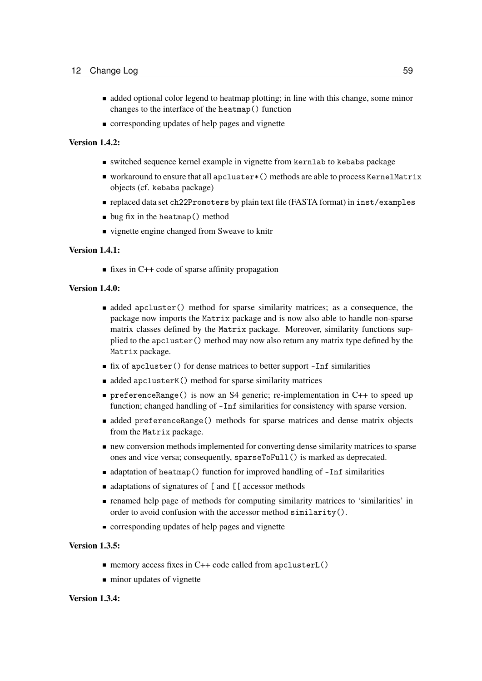- added optional color legend to heatmap plotting; in line with this change, some minor changes to the interface of the heatmap() function
- $\blacksquare$  corresponding updates of help pages and vignette

#### Version 1.4.2:

- switched sequence kernel example in vignette from kernlab to kebabs package
- workaround to ensure that all apcluster\*() methods are able to process KernelMatrix objects (cf. kebabs package)
- replaced data set ch22Promoters by plain text file (FASTA format) in inst/examples
- $\blacksquare$  bug fix in the heatmap() method
- vignette engine changed from Sweave to knitr

#### Version 1.4.1:

 $\blacksquare$  fixes in C++ code of sparse affinity propagation

#### Version 1.4.0:

- added apcluster() method for sparse similarity matrices; as a consequence, the package now imports the Matrix package and is now also able to handle non-sparse matrix classes defined by the Matrix package. Moreover, similarity functions supplied to the apcluster() method may now also return any matrix type defined by the Matrix package.
- fix of apcluster() for dense matrices to better support -Inf similarities
- $\blacksquare$  added apclusterK() method for sparse similarity matrices
- preferenceRange() is now an S4 generic; re-implementation in C++ to speed up function; changed handling of -Inf similarities for consistency with sparse version.
- added preferenceRange() methods for sparse matrices and dense matrix objects from the Matrix package.
- new conversion methods implemented for converting dense similarity matrices to sparse ones and vice versa; consequently, sparseToFull() is marked as deprecated.
- adaptation of heatmap() function for improved handling of -Inf similarities
- adaptations of signatures of [ and [ [ accessor methods
- renamed help page of methods for computing similarity matrices to 'similarities' in order to avoid confusion with the accessor method similarity().
- corresponding updates of help pages and vignette

### Version 1.3.5:

- memory access fixes in  $C++$  code called from apcluster  $L()$
- minor updates of vignette

### Version 1.3.4: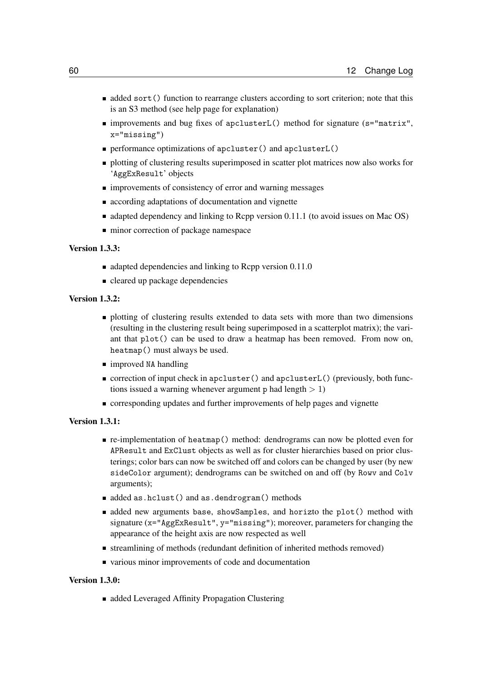- **added sort()** function to rearrange clusters according to sort criterion; note that this is an S3 method (see help page for explanation)
- improvements and bug fixes of apclusterL() method for signature (s="matrix", x="missing")
- performance optimizations of apcluster() and apclusterL()
- plotting of clustering results superimposed in scatter plot matrices now also works for 'AggExResult' objects
- **IMPROVEMENTS** improvements of consistency of error and warning messages
- **according adaptations of documentation and vignette**
- $\blacksquare$  adapted dependency and linking to Rcpp version 0.11.1 (to avoid issues on Mac OS)
- minor correction of package namespace

#### Version 1.3.3:

- $\blacksquare$  adapted dependencies and linking to Rcpp version 0.11.0
- cleared up package dependencies

### Version 1.3.2:

- **plotting of clustering results extended to data sets with more than two dimensions** (resulting in the clustering result being superimposed in a scatterplot matrix); the variant that plot() can be used to draw a heatmap has been removed. From now on, heatmap() must always be used.
- improved NA handling
- correction of input check in apcluster() and apcluster L() (previously, both functions issued a warning whenever argument p had length  $> 1$ )
- corresponding updates and further improvements of help pages and vignette

### Version 1.3.1:

- re-implementation of heatmap() method: dendrograms can now be plotted even for APResult and ExClust objects as well as for cluster hierarchies based on prior clusterings; color bars can now be switched off and colors can be changed by user (by new sideColor argument); dendrograms can be switched on and off (by Rowv and Colv arguments);
- added as.hclust() and as.dendrogram() methods
- added new arguments base, showSamples, and horizto the plot() method with signature (x="AggExResult", y="missing"); moreover, parameters for changing the appearance of the height axis are now respected as well
- streamlining of methods (redundant definition of inherited methods removed)
- various minor improvements of code and documentation

### Version 1.3.0:

■ added Leveraged Affinity Propagation Clustering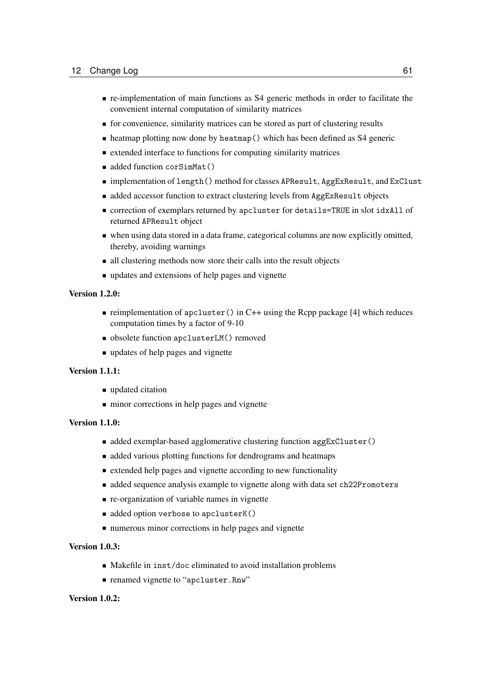- re-implementation of main functions as S4 generic methods in order to facilitate the convenient internal computation of similarity matrices
- for convenience, similarity matrices can be stored as part of clustering results
- $\blacksquare$  heatmap plotting now done by heatmap() which has been defined as S4 generic
- extended interface to functions for computing similarity matrices
- added function corSimMat()
- implementation of length() method for classes APResult, AggExResult, and ExClust
- diaded accessor function to extract clustering levels from AggExResult objects
- correction of exemplars returned by apcluster for details=TRUE in slot idxAll of returned APResult object
- when using data stored in a data frame, categorical columns are now explicitly omitted, thereby, avoiding warnings
- all clustering methods now store their calls into the result objects
- updates and extensions of help pages and vignette

### Version 1.2.0:

- reimplementation of apcluster() in C++ using the Rcpp package [\[4\]](#page-61-6) which reduces computation times by a factor of 9-10
- obsolete function apclusterLM() removed
- updates of help pages and vignette

### Version 1.1.1:

- updated citation
- $\blacksquare$  minor corrections in help pages and vignette

### Version 1.1.0:

- added exemplar-based agglomerative clustering function aggExCluster()
- died various plotting functions for dendrograms and heatmaps
- **Extended help pages and vignette according to new functionality**
- added sequence analysis example to vignette along with data set ch22Promoters
- $\blacksquare$  re-organization of variable names in vignette
- ded option verbose to apclusterK()
- numerous minor corrections in help pages and vignette

### Version 1.0.3:

- Makefile in inst/doc eliminated to avoid installation problems
- **renamed vignette to "apcluster.Rnw"**

#### Version 1.0.2: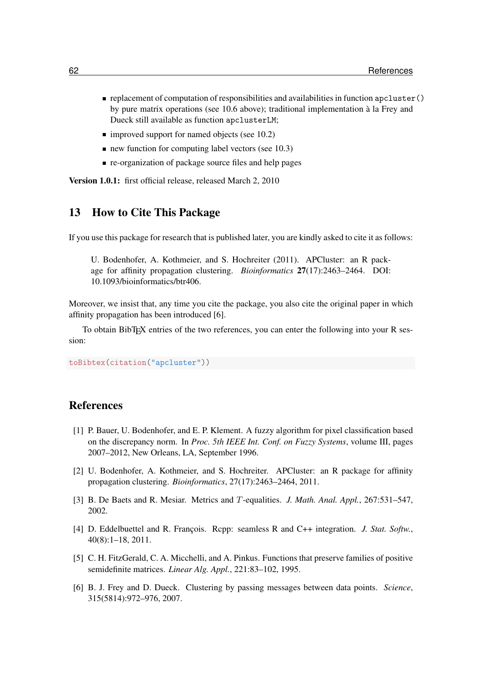- $\blacksquare$  replacement of computation of responsibilities and availabilities in function apcluster() by pure matrix operations (see [10.6](#page-56-0) above); traditional implementation à la Frey and Dueck still available as function apclusterLM;
- $\blacksquare$  improved support for named objects (see [10.2\)](#page-50-2)
- $\blacksquare$  new function for computing label vectors (see [10.3\)](#page-52-0)
- $\blacksquare$  re-organization of package source files and help pages

Version 1.0.1: first official release, released March 2, 2010

### <span id="page-61-1"></span>13 How to Cite This Package

If you use this package for research that is published later, you are kindly asked to cite it as follows:

U. Bodenhofer, A. Kothmeier, and S. Hochreiter (2011). APCluster: an R package for affinity propagation clustering. *Bioinformatics* 27(17):2463–2464. DOI: [10.1093/bioinformatics/btr406.](http://dx.doi.org/10.1093/bioinformatics/btr406)

Moreover, we insist that, any time you cite the package, you also cite the original paper in which affinity propagation has been introduced [\[6\]](#page-61-2).

To obtain BibTEX entries of the two references, you can enter the following into your R session:

toBibtex(citation("apcluster"))

### References

- <span id="page-61-3"></span>[1] P. Bauer, U. Bodenhofer, and E. P. Klement. A fuzzy algorithm for pixel classification based on the discrepancy norm. In *Proc. 5th IEEE Int. Conf. on Fuzzy Systems*, volume III, pages 2007–2012, New Orleans, LA, September 1996.
- <span id="page-61-0"></span>[2] U. Bodenhofer, A. Kothmeier, and S. Hochreiter. APCluster: an R package for affinity propagation clustering. *Bioinformatics*, 27(17):2463–2464, 2011.
- <span id="page-61-5"></span>[3] B. De Baets and R. Mesiar. Metrics and T-equalities. *J. Math. Anal. Appl.*, 267:531–547, 2002.
- <span id="page-61-6"></span>[4] D. Eddelbuettel and R. François. Rcpp: seamless R and C++ integration. *J. Stat. Softw.*, 40(8):1–18, 2011.
- <span id="page-61-4"></span>[5] C. H. FitzGerald, C. A. Micchelli, and A. Pinkus. Functions that preserve families of positive semidefinite matrices. *Linear Alg. Appl.*, 221:83–102, 1995.
- <span id="page-61-2"></span>[6] B. J. Frey and D. Dueck. Clustering by passing messages between data points. *Science*, 315(5814):972–976, 2007.